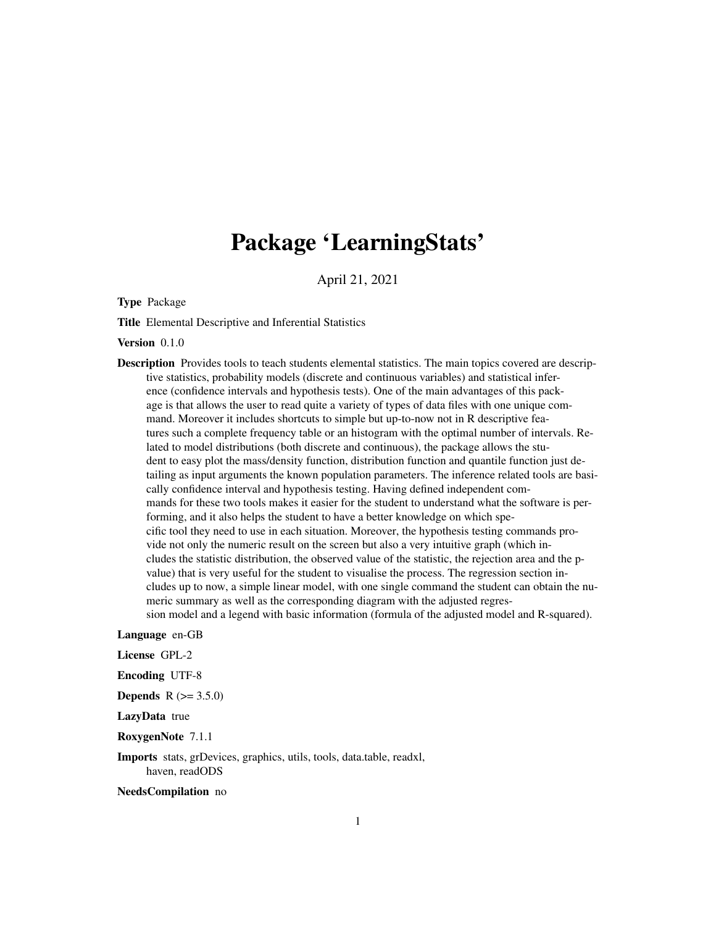# Package 'LearningStats'

April 21, 2021

Type Package

Title Elemental Descriptive and Inferential Statistics

Version 0.1.0

Description Provides tools to teach students elemental statistics. The main topics covered are descriptive statistics, probability models (discrete and continuous variables) and statistical inference (confidence intervals and hypothesis tests). One of the main advantages of this package is that allows the user to read quite a variety of types of data files with one unique command. Moreover it includes shortcuts to simple but up-to-now not in R descriptive features such a complete frequency table or an histogram with the optimal number of intervals. Related to model distributions (both discrete and continuous), the package allows the student to easy plot the mass/density function, distribution function and quantile function just detailing as input arguments the known population parameters. The inference related tools are basically confidence interval and hypothesis testing. Having defined independent commands for these two tools makes it easier for the student to understand what the software is performing, and it also helps the student to have a better knowledge on which specific tool they need to use in each situation. Moreover, the hypothesis testing commands provide not only the numeric result on the screen but also a very intuitive graph (which includes the statistic distribution, the observed value of the statistic, the rejection area and the pvalue) that is very useful for the student to visualise the process. The regression section includes up to now, a simple linear model, with one single command the student can obtain the numeric summary as well as the corresponding diagram with the adjusted regression model and a legend with basic information (formula of the adjusted model and R-squared).

Language en-GB

License GPL-2

Encoding UTF-8

**Depends**  $R (= 3.5.0)$ 

LazyData true

RoxygenNote 7.1.1

Imports stats, grDevices, graphics, utils, tools, data.table, readxl, haven, readODS

NeedsCompilation no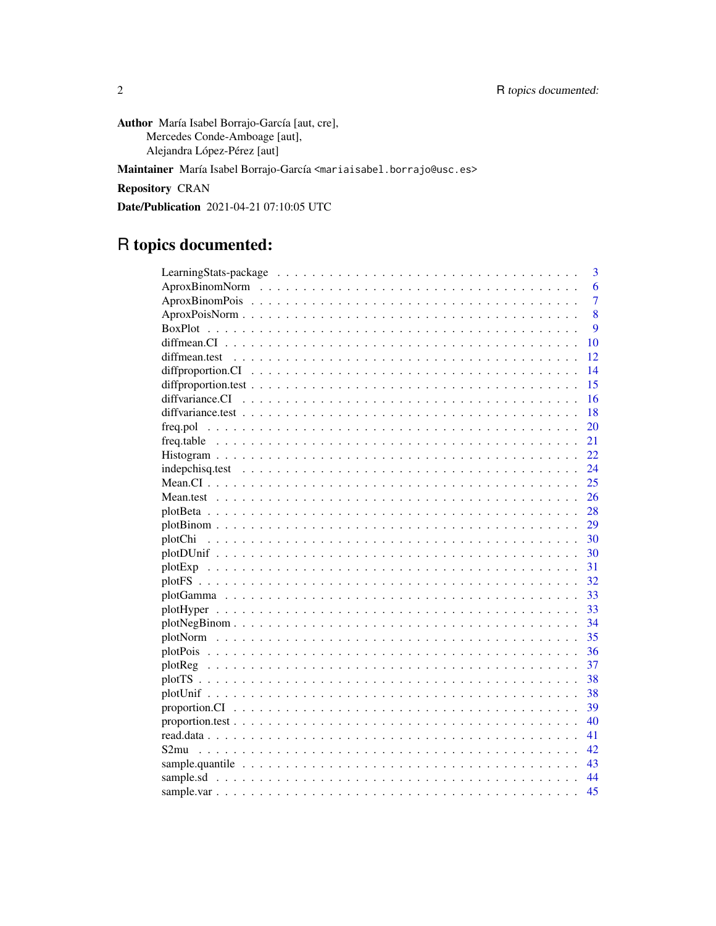Author María Isabel Borrajo-García [aut, cre], Mercedes Conde-Amboage [aut], Alejandra López-Pérez [aut]

Maintainer María Isabel Borrajo-García <mariaisabel.borrajo@usc.es>

**Repository CRAN** 

Date/Publication 2021-04-21 07:10:05 UTC

## R topics documented:

| 3              |
|----------------|
| 6              |
| $\overline{7}$ |
| 8              |
| 9              |
| 10             |
| 12             |
| 14             |
| 15             |
| 16             |
| 18             |
| 20             |
| 21             |
| 22.            |
| 24             |
| 25             |
| 26             |
| 28             |
| 29             |
| 30             |
| 30             |
| 31             |
| 32             |
| 33             |
| 33             |
| 34             |
| 35             |
| 36             |
| 37             |
| 38             |
| 38             |
| 39             |
| 40             |
| 41             |
| 42             |
| 43             |
| 44             |
| 45             |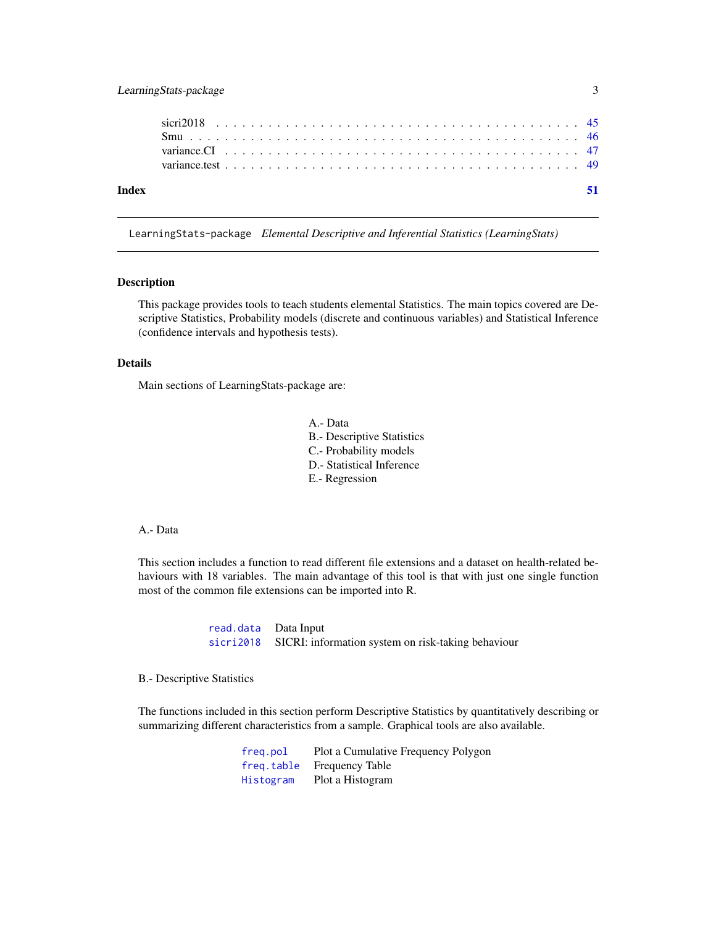<span id="page-2-0"></span>

LearningStats-package *Elemental Descriptive and Inferential Statistics (LearningStats)*

#### Description

This package provides tools to teach students elemental Statistics. The main topics covered are Descriptive Statistics, Probability models (discrete and continuous variables) and Statistical Inference (confidence intervals and hypothesis tests).

#### Details

Main sections of LearningStats-package are:

- A.- Data
- B.- Descriptive Statistics
- C.- Probability models
- D.- Statistical Inference
- E.- Regression

#### A.- Data

This section includes a function to read different file extensions and a dataset on health-related behaviours with 18 variables. The main advantage of this tool is that with just one single function most of the common file extensions can be imported into R.

> [read.data](#page-40-1) Data Input [sicri2018](#page-44-1) SICRI: information system on risk-taking behaviour

#### B.- Descriptive Statistics

The functions included in this section perform Descriptive Statistics by quantitatively describing or summarizing different characteristics from a sample. Graphical tools are also available.

| freg.pol  | Plot a Cumulative Frequency Polygon |
|-----------|-------------------------------------|
|           | freq.table Frequency Table          |
| Histogram | Plot a Histogram                    |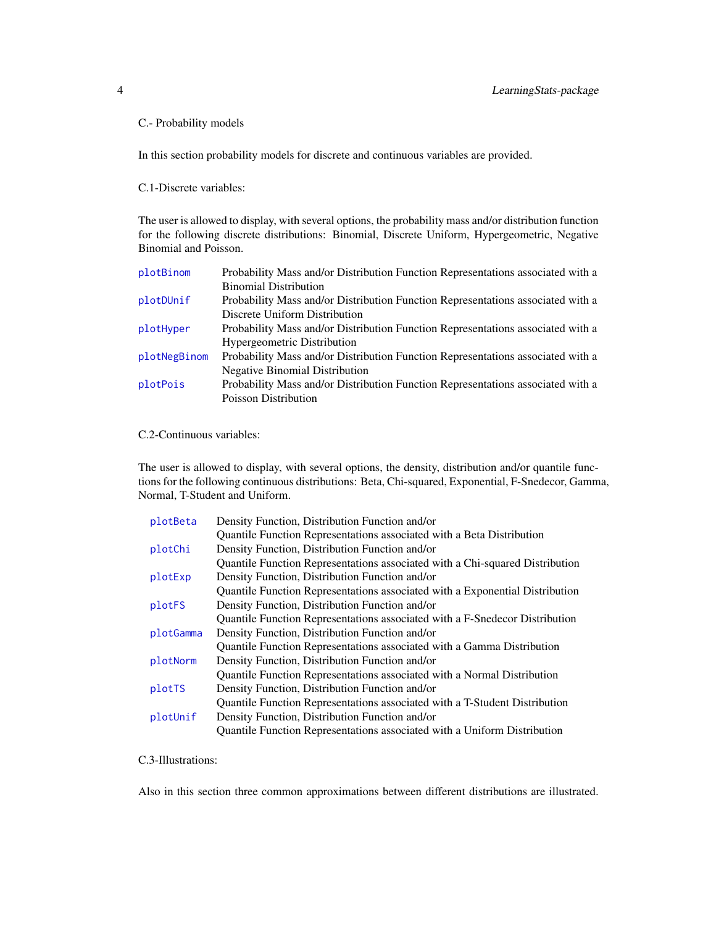## <span id="page-3-0"></span>C.- Probability models

In this section probability models for discrete and continuous variables are provided.

C.1-Discrete variables:

The user is allowed to display, with several options, the probability mass and/or distribution function for the following discrete distributions: Binomial, Discrete Uniform, Hypergeometric, Negative Binomial and Poisson.

| plotBinom    | Probability Mass and/or Distribution Function Representations associated with a |
|--------------|---------------------------------------------------------------------------------|
|              | <b>Binomial Distribution</b>                                                    |
| plotDUnif    | Probability Mass and/or Distribution Function Representations associated with a |
|              | Discrete Uniform Distribution                                                   |
| plotHyper    | Probability Mass and/or Distribution Function Representations associated with a |
|              | Hypergeometric Distribution                                                     |
| plotNegBinom | Probability Mass and/or Distribution Function Representations associated with a |
|              | <b>Negative Binomial Distribution</b>                                           |
| plotPois     | Probability Mass and/or Distribution Function Representations associated with a |
|              | <b>Poisson Distribution</b>                                                     |

C.2-Continuous variables:

The user is allowed to display, with several options, the density, distribution and/or quantile functions for the following continuous distributions: Beta, Chi-squared, Exponential, F-Snedecor, Gamma, Normal, T-Student and Uniform.

| plotBeta  | Density Function, Distribution Function and/or                               |
|-----------|------------------------------------------------------------------------------|
|           | Quantile Function Representations associated with a Beta Distribution        |
| plotChi   | Density Function, Distribution Function and/or                               |
|           | Quantile Function Representations associated with a Chi-squared Distribution |
| plotExp   | Density Function, Distribution Function and/or                               |
|           | Quantile Function Representations associated with a Exponential Distribution |
| plotFS    | Density Function, Distribution Function and/or                               |
|           | Quantile Function Representations associated with a F-Snedecor Distribution  |
| plotGamma | Density Function, Distribution Function and/or                               |
|           | Quantile Function Representations associated with a Gamma Distribution       |
| plotNorm  | Density Function, Distribution Function and/or                               |
|           | Quantile Function Representations associated with a Normal Distribution      |
| plotTS    | Density Function, Distribution Function and/or                               |
|           | Quantile Function Representations associated with a T-Student Distribution   |
| plotUnif  | Density Function, Distribution Function and/or                               |
|           | Quantile Function Representations associated with a Uniform Distribution     |

C.3-Illustrations:

Also in this section three common approximations between different distributions are illustrated.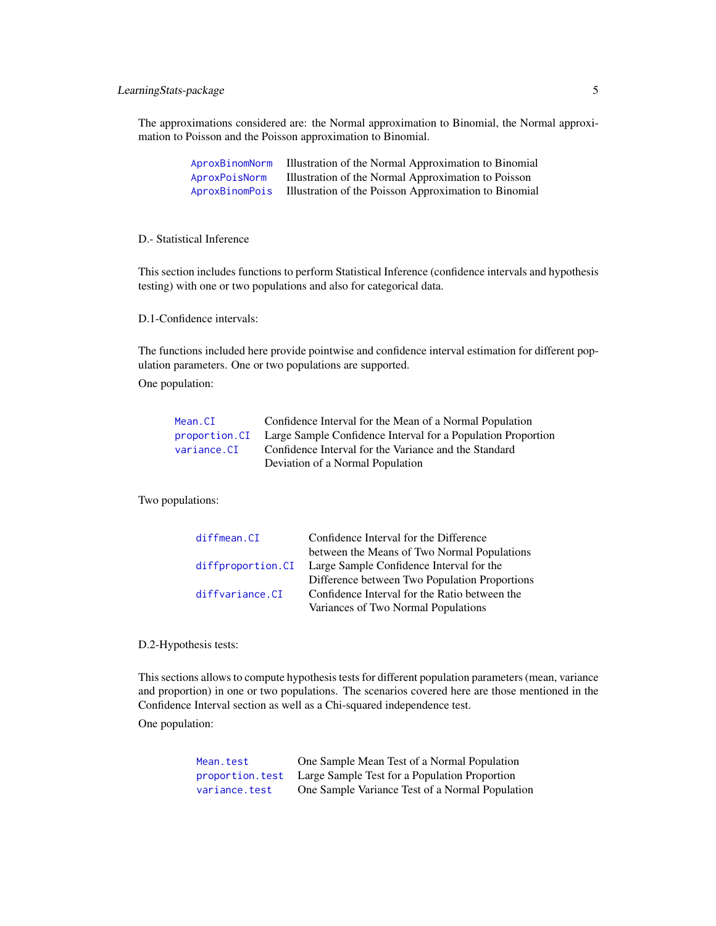## <span id="page-4-0"></span>LearningStats-package 5

The approximations considered are: the Normal approximation to Binomial, the Normal approximation to Poisson and the Poisson approximation to Binomial.

| AproxBinomNorm | Illustration of the Normal Approximation to Binomial  |
|----------------|-------------------------------------------------------|
| AproxPoisNorm  | Illustration of the Normal Approximation to Poisson   |
| AproxBinomPois | Illustration of the Poisson Approximation to Binomial |

## D.- Statistical Inference

This section includes functions to perform Statistical Inference (confidence intervals and hypothesis testing) with one or two populations and also for categorical data.

D.1-Confidence intervals:

The functions included here provide pointwise and confidence interval estimation for different population parameters. One or two populations are supported.

One population:

| Mean.CI     | Confidence Interval for the Mean of a Normal Population                     |
|-------------|-----------------------------------------------------------------------------|
|             | proportion. CI Large Sample Confidence Interval for a Population Proportion |
| variance.CI | Confidence Interval for the Variance and the Standard                       |
|             | Deviation of a Normal Population                                            |

Two populations:

| diffmean.CI     | Confidence Interval for the Difference                      |
|-----------------|-------------------------------------------------------------|
|                 | between the Means of Two Normal Populations                 |
|                 | diffproportion. CI Large Sample Confidence Interval for the |
|                 | Difference between Two Population Proportions               |
| diffvariance.CI | Confidence Interval for the Ratio between the               |
|                 | Variances of Two Normal Populations                         |

#### D.2-Hypothesis tests:

This sections allows to compute hypothesis tests for different population parameters (mean, variance and proportion) in one or two populations. The scenarios covered here are those mentioned in the Confidence Interval section as well as a Chi-squared independence test.

One population:

| Mean.test     | One Sample Mean Test of a Normal Population                    |
|---------------|----------------------------------------------------------------|
|               | proportion. test Large Sample Test for a Population Proportion |
| variance.test | One Sample Variance Test of a Normal Population                |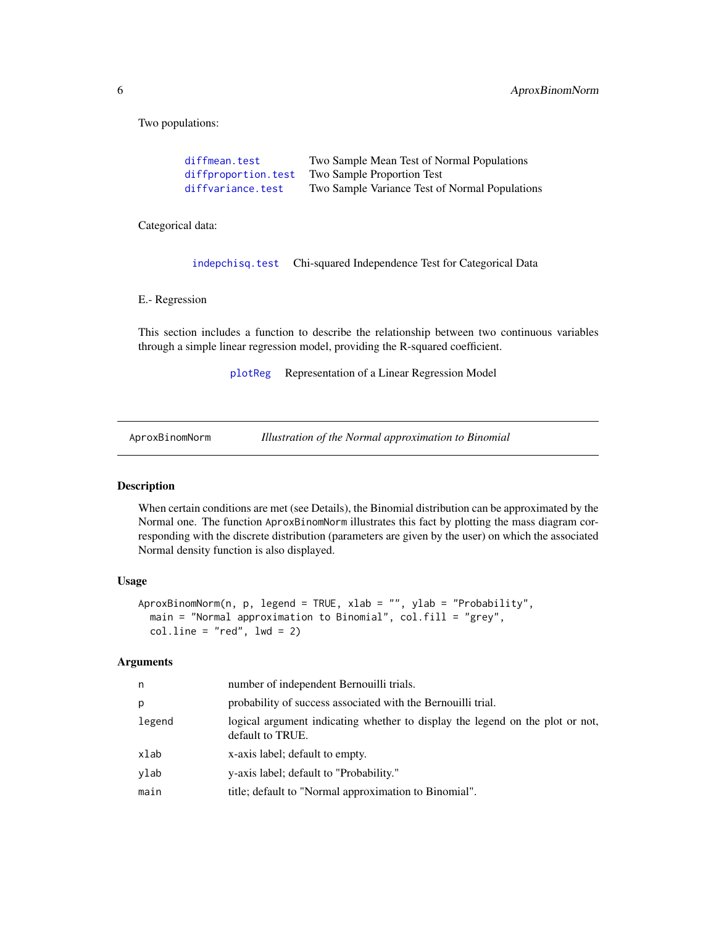<span id="page-5-0"></span>6 AproxBinomNorm

Two populations:

| diffmean.test       | Two Sample Mean Test of Normal Populations     |
|---------------------|------------------------------------------------|
| diffproportion.test | Two Sample Proportion Test                     |
| diffvariance.test   | Two Sample Variance Test of Normal Populations |

Categorical data:

[indepchisq.test](#page-23-1) Chi-squared Independence Test for Categorical Data

E.- Regression

This section includes a function to describe the relationship between two continuous variables through a simple linear regression model, providing the R-squared coefficient.

[plotReg](#page-36-1) Representation of a Linear Regression Model

<span id="page-5-1"></span>AproxBinomNorm *Illustration of the Normal approximation to Binomial*

## Description

When certain conditions are met (see Details), the Binomial distribution can be approximated by the Normal one. The function AproxBinomNorm illustrates this fact by plotting the mass diagram corresponding with the discrete distribution (parameters are given by the user) on which the associated Normal density function is also displayed.

## Usage

```
AproxBinomNorm(n, p, legend = TRUE, xlab = "", ylab = "Probability",
 main = "Normal approximation to Binomial", col.fill = "grey",
  coluine = "red", lwd = 2)
```

| n      | number of independent Bernouilli trials.                                                          |
|--------|---------------------------------------------------------------------------------------------------|
| p      | probability of success associated with the Bernouilli trial.                                      |
| legend | logical argument indicating whether to display the legend on the plot or not,<br>default to TRUE. |
| xlab   | x-axis label; default to empty.                                                                   |
| ylab   | y-axis label; default to "Probability."                                                           |
| main   | title; default to "Normal approximation to Binomial".                                             |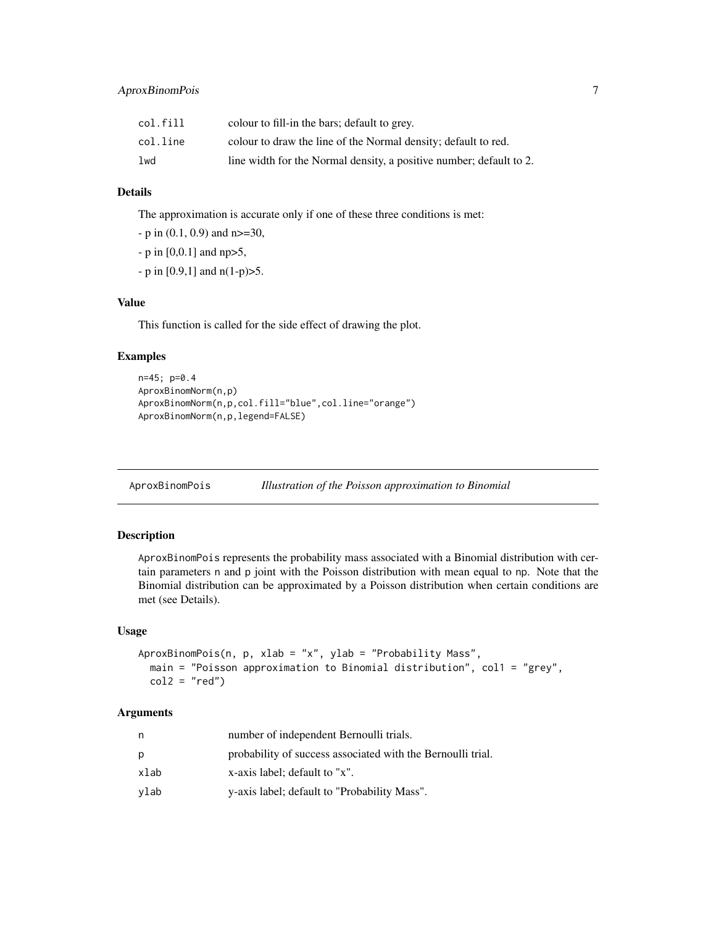<span id="page-6-0"></span>

| col.fill | colour to fill-in the bars; default to grey.                        |
|----------|---------------------------------------------------------------------|
| col.line | colour to draw the line of the Normal density; default to red.      |
| lwd      | line width for the Normal density, a positive number; default to 2. |

## Details

The approximation is accurate only if one of these three conditions is met:

 $-p$  in (0.1, 0.9) and n $>=$  30,

- p in [0,0.1] and np>5,

 $-p$  in [0.9,1] and  $n(1-p) > 5$ .

## Value

This function is called for the side effect of drawing the plot.

## Examples

```
n=45; p=0.4
AproxBinomNorm(n,p)
AproxBinomNorm(n,p,col.fill="blue",col.line="orange")
AproxBinomNorm(n,p,legend=FALSE)
```
<span id="page-6-1"></span>AproxBinomPois *Illustration of the Poisson approximation to Binomial*

## Description

AproxBinomPois represents the probability mass associated with a Binomial distribution with certain parameters n and p joint with the Poisson distribution with mean equal to np. Note that the Binomial distribution can be approximated by a Poisson distribution when certain conditions are met (see Details).

#### Usage

```
AproxBinomPois(n, p, xlab = "x", ylab = "Probability Mass",
 main = "Poisson approximation to Binomial distribution", col1 = "grey",
 col2 = "red")
```

| n    | number of independent Bernoulli trials.                     |
|------|-------------------------------------------------------------|
| D    | probability of success associated with the Bernoulli trial. |
| xlab | x-axis label; default to "x".                               |
| vlab | y-axis label; default to "Probability Mass".                |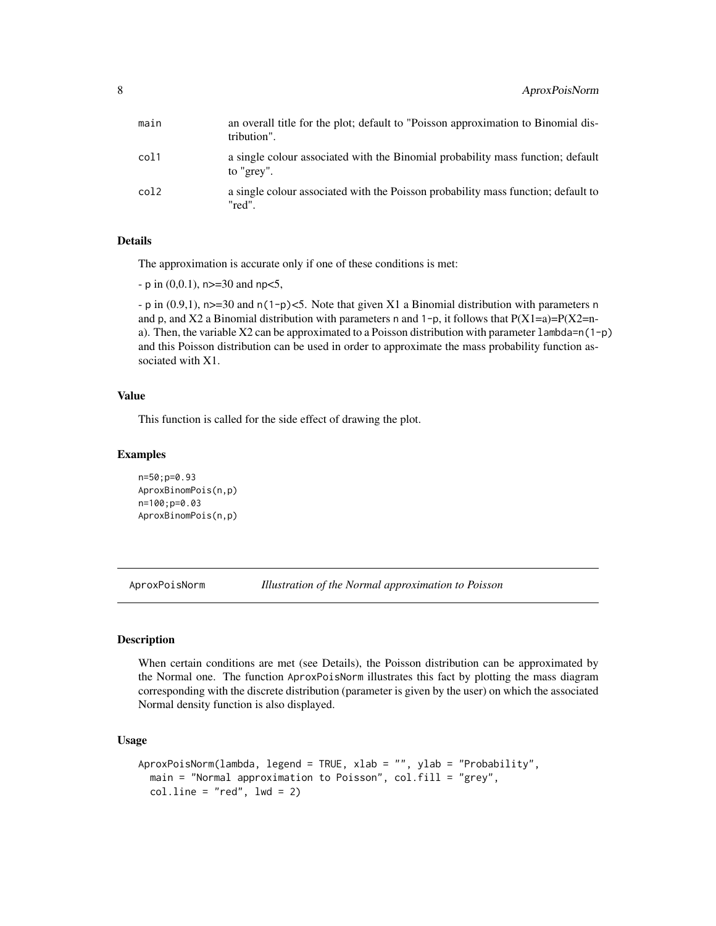<span id="page-7-0"></span>

| main | an overall title for the plot; default to "Poisson approximation to Binomial dis-<br>tribution". |
|------|--------------------------------------------------------------------------------------------------|
| col1 | a single colour associated with the Binomial probability mass function; default<br>to "grey".    |
| col2 | a single colour associated with the Poisson probability mass function; default to<br>"red".      |

#### Details

The approximation is accurate only if one of these conditions is met:

 $-p$  in (0,0.1), n > = 30 and n p < 5,

- p in  $(0.9,1)$ , n>=30 and n(1-p)<5. Note that given X1 a Binomial distribution with parameters n and p, and X2 a Binomial distribution with parameters n and 1-p, it follows that  $P(X1=a)=P(X2=n-a)$ a). Then, the variable  $X2$  can be approximated to a Poisson distribution with parameter lambda=n(1-p) and this Poisson distribution can be used in order to approximate the mass probability function associated with X1.

## Value

This function is called for the side effect of drawing the plot.

#### Examples

```
n=50;p=0.93
AproxBinomPois(n,p)
n=100;p=0.03
AproxBinomPois(n,p)
```
<span id="page-7-1"></span>AproxPoisNorm *Illustration of the Normal approximation to Poisson*

#### Description

When certain conditions are met (see Details), the Poisson distribution can be approximated by the Normal one. The function AproxPoisNorm illustrates this fact by plotting the mass diagram corresponding with the discrete distribution (parameter is given by the user) on which the associated Normal density function is also displayed.

#### Usage

```
AproxPoisNorm(lambda, legend = TRUE, xlab = "", ylab = "Probability",
 main = "Normal approximation to Poisson", col.fill = "grey",
 coluine = "red", lwd = 2)
```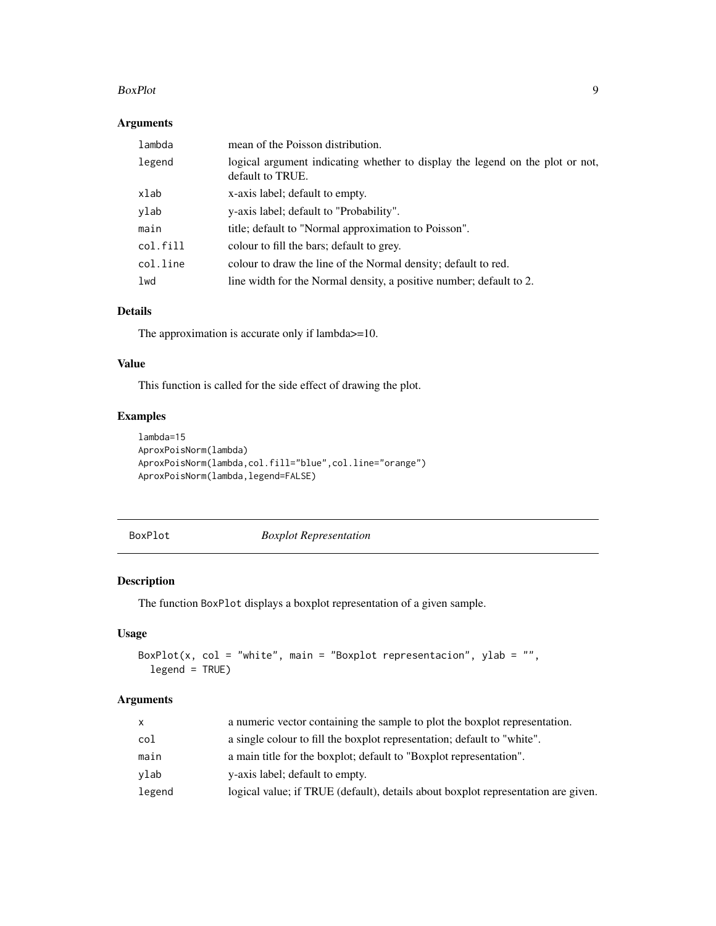#### <span id="page-8-0"></span>BoxPlot 9

## Arguments

| lambda   | mean of the Poisson distribution.                                                                 |
|----------|---------------------------------------------------------------------------------------------------|
| legend   | logical argument indicating whether to display the legend on the plot or not,<br>default to TRUE. |
| xlab     | x-axis label; default to empty.                                                                   |
| ylab     | y-axis label; default to "Probability".                                                           |
| main     | title; default to "Normal approximation to Poisson".                                              |
| col.fill | colour to fill the bars; default to grey.                                                         |
| col.line | colour to draw the line of the Normal density; default to red.                                    |
| lwd      | line width for the Normal density, a positive number; default to 2.                               |

## Details

The approximation is accurate only if lambda $>=10$ .

#### Value

This function is called for the side effect of drawing the plot.

## Examples

```
lambda=15
AproxPoisNorm(lambda)
AproxPoisNorm(lambda,col.fill="blue",col.line="orange")
AproxPoisNorm(lambda,legend=FALSE)
```
BoxPlot *Boxplot Representation*

## Description

The function BoxPlot displays a boxplot representation of a given sample.

## Usage

```
BoxPlot(x, col = "white", main = "Boxplot representacion", ylab = "",
  legend = TRUE)
```

| a numeric vector containing the sample to plot the boxplot representation.        |
|-----------------------------------------------------------------------------------|
| a single colour to fill the boxplot representation; default to "white".           |
| a main title for the boxplot; default to "Boxplot representation".                |
| y-axis label; default to empty.                                                   |
| logical value; if TRUE (default), details about boxplot representation are given. |
|                                                                                   |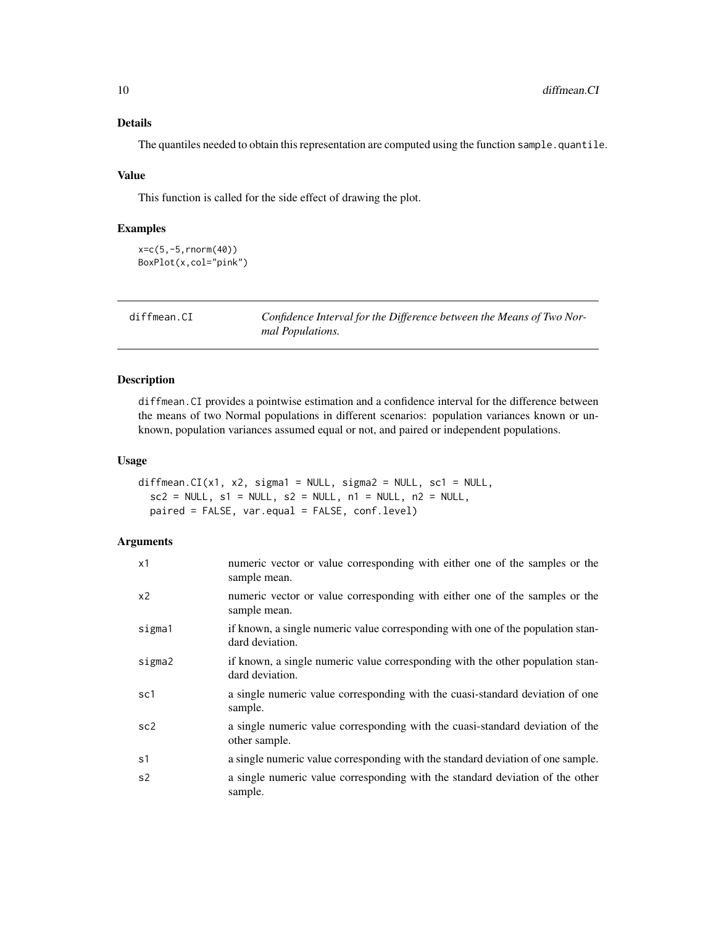#### Details

The quantiles needed to obtain this representation are computed using the function sample. quantile.

#### Value

This function is called for the side effect of drawing the plot.

#### Examples

```
x=c(5,-5,rnorm(40))
BoxPlot(x,col="pink")
```
<span id="page-9-1"></span>diffmean.CI *Confidence Interval for the Difference between the Means of Two Normal Populations.*

## Description

diffmean.CI provides a pointwise estimation and a confidence interval for the difference between the means of two Normal populations in different scenarios: population variances known or unknown, population variances assumed equal or not, and paired or independent populations.

#### Usage

```
diffmean.CI(x1, x2, sigma1 = NULL, sigma2 = NULL, sc1 = NULL,
  sc2 = NULL, s1 = NULL, s2 = NULL, n1 = NULL, n2 = NULL,
 paired = FALSE, var.equal = FALSE, conf.level)
```

| x1              | numeric vector or value corresponding with either one of the samples or the<br>sample mean.        |
|-----------------|----------------------------------------------------------------------------------------------------|
| x <sub>2</sub>  | numeric vector or value corresponding with either one of the samples or the<br>sample mean.        |
| sigma1          | if known, a single numeric value corresponding with one of the population stan-<br>dard deviation. |
| sigma2          | if known, a single numeric value corresponding with the other population stan-<br>dard deviation.  |
| sc1             | a single numeric value corresponding with the cuasi-standard deviation of one<br>sample.           |
| sc <sub>2</sub> | a single numeric value corresponding with the cuasi-standard deviation of the<br>other sample.     |
| s1              | a single numeric value corresponding with the standard deviation of one sample.                    |
| s2              | a single numeric value corresponding with the standard deviation of the other<br>sample.           |

<span id="page-9-0"></span>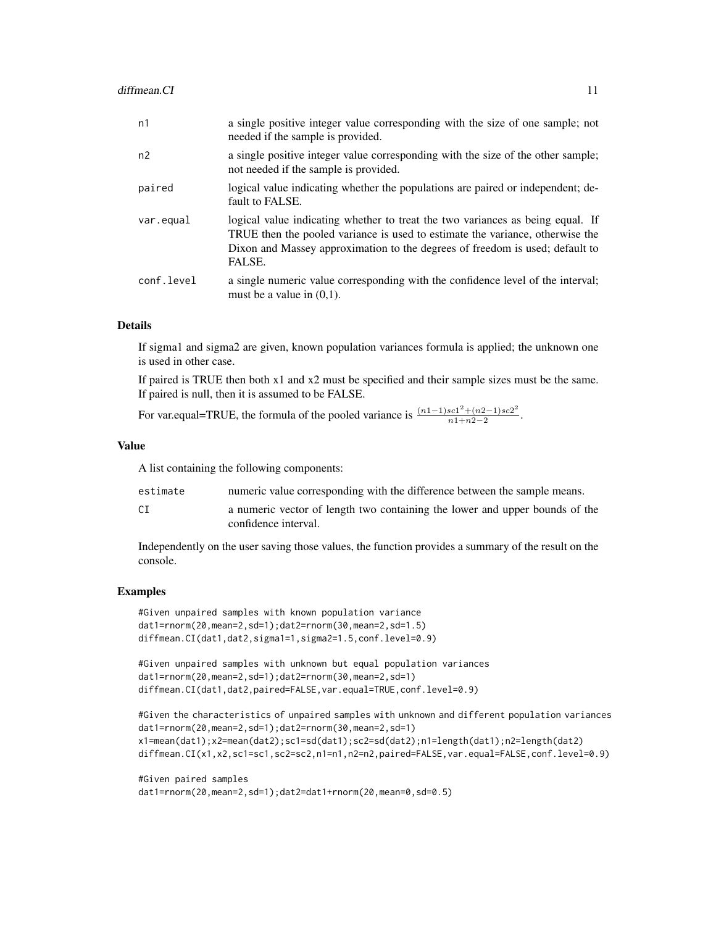| n2<br>not needed if the sample is provided.<br>paired<br>fault to FALSE.<br>var.equal<br>FALSE.<br>conf.level<br>must be a value in $(0,1)$ . | n1 | a single positive integer value corresponding with the size of one sample; not<br>needed if the sample is provided.                                                                                                                             |
|-----------------------------------------------------------------------------------------------------------------------------------------------|----|-------------------------------------------------------------------------------------------------------------------------------------------------------------------------------------------------------------------------------------------------|
|                                                                                                                                               |    | a single positive integer value corresponding with the size of the other sample;                                                                                                                                                                |
|                                                                                                                                               |    | logical value indicating whether the populations are paired or independent; de-                                                                                                                                                                 |
|                                                                                                                                               |    | logical value indicating whether to treat the two variances as being equal. If<br>TRUE then the pooled variance is used to estimate the variance, otherwise the<br>Dixon and Massey approximation to the degrees of freedom is used; default to |
|                                                                                                                                               |    | a single numeric value corresponding with the confidence level of the interval;                                                                                                                                                                 |

#### Details

If sigma1 and sigma2 are given, known population variances formula is applied; the unknown one is used in other case.

If paired is TRUE then both x1 and x2 must be specified and their sample sizes must be the same. If paired is null, then it is assumed to be FALSE.

For var.equal=TRUE, the formula of the pooled variance is  $\frac{(n1-1)sc1^2 + (n2-1)sc2^2}{n1+n^2-2}$  $rac{n+1+2-1)sc2}{n+2-2}$ .

#### Value

A list containing the following components:

| estimate | numeric value corresponding with the difference between the sample means. |  |  |  |
|----------|---------------------------------------------------------------------------|--|--|--|
|----------|---------------------------------------------------------------------------|--|--|--|

CI a numeric vector of length two containing the lower and upper bounds of the confidence interval.

Independently on the user saving those values, the function provides a summary of the result on the console.

#### Examples

```
#Given unpaired samples with known population variance
dat1=rnorm(20,mean=2,sd=1);dat2=rnorm(30,mean=2,sd=1.5)
diffmean.CI(dat1,dat2,sigma1=1,sigma2=1.5,conf.level=0.9)
```

```
#Given unpaired samples with unknown but equal population variances
dat1=rnorm(20,mean=2,sd=1);dat2=rnorm(30,mean=2,sd=1)
diffmean.CI(dat1,dat2,paired=FALSE,var.equal=TRUE,conf.level=0.9)
```

```
#Given the characteristics of unpaired samples with unknown and different population variances
dat1=rnorm(20,mean=2,sd=1);dat2=rnorm(30,mean=2,sd=1)
x1=mean(dat1);x2=mean(dat2);sc1=sd(dat1);sc2=sd(dat2);n1=length(dat1);n2=length(dat2)
diffmean.CI(x1,x2,sc1=sc1,sc2=sc2,n1=n1,n2=n2,paired=FALSE,var.equal=FALSE,conf.level=0.9)
```

```
#Given paired samples
dat1=rnorm(20,mean=2,sd=1);dat2=dat1+rnorm(20,mean=0,sd=0.5)
```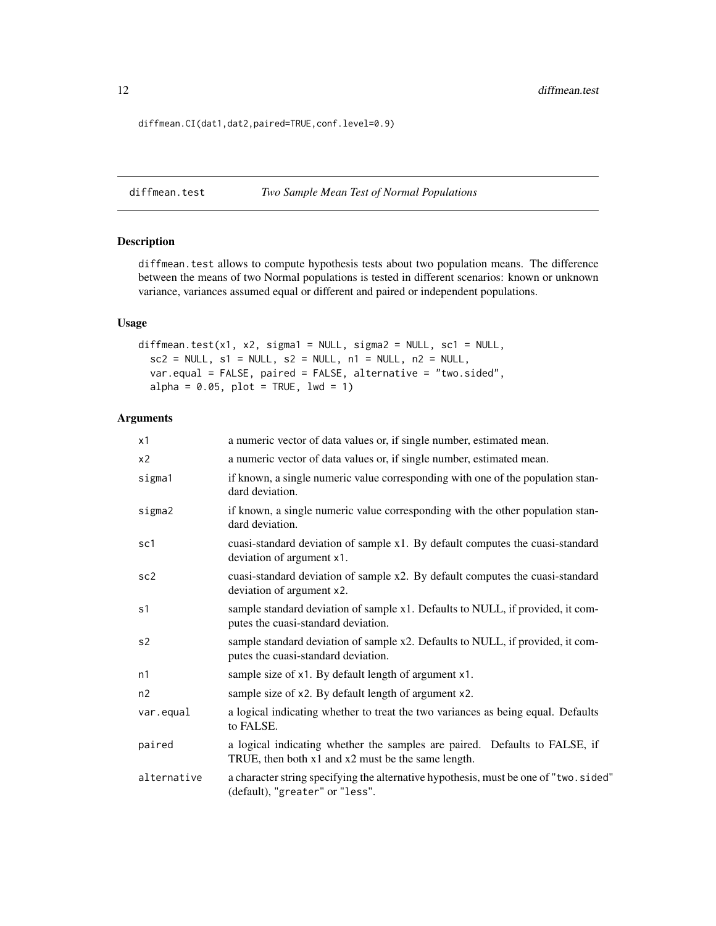<span id="page-11-0"></span>12 diffmean.test

diffmean.CI(dat1,dat2,paired=TRUE,conf.level=0.9)

<span id="page-11-1"></span>diffmean.test *Two Sample Mean Test of Normal Populations*

## Description

diffmean.test allows to compute hypothesis tests about two population means. The difference between the means of two Normal populations is tested in different scenarios: known or unknown variance, variances assumed equal or different and paired or independent populations.

#### Usage

```
diffmean.test(x1, x2, sigma1 = NULL, sigma2 = NULL, sc1 = NULL,
  sc2 = NULL, s1 = NULL, s2 = NULL, n1 = NULL, n2 = NULL,var.equal = FALSE, paired = FALSE, alternative = "two.sided",
  alpha = 0.05, plot = TRUE, lwd = 1)
```

| x1              | a numeric vector of data values or, if single number, estimated mean.                                                                |  |
|-----------------|--------------------------------------------------------------------------------------------------------------------------------------|--|
| x <sub>2</sub>  | a numeric vector of data values or, if single number, estimated mean.                                                                |  |
| sigma1          | if known, a single numeric value corresponding with one of the population stan-<br>dard deviation.                                   |  |
| sigma2          | if known, a single numeric value corresponding with the other population stan-<br>dard deviation.                                    |  |
| sc1             | cuasi-standard deviation of sample x1. By default computes the cuasi-standard<br>deviation of argument x1.                           |  |
| sc <sub>2</sub> | cuasi-standard deviation of sample x2. By default computes the cuasi-standard<br>deviation of argument x2.                           |  |
| s1              | sample standard deviation of sample x1. Defaults to NULL, if provided, it com-<br>putes the cuasi-standard deviation.                |  |
| s <sub>2</sub>  | sample standard deviation of sample x2. Defaults to NULL, if provided, it com-<br>putes the cuasi-standard deviation.                |  |
| n1              | sample size of x1. By default length of argument x1.                                                                                 |  |
| n2              | sample size of x2. By default length of argument x2.                                                                                 |  |
| var.equal       | a logical indicating whether to treat the two variances as being equal. Defaults<br>to FALSE.                                        |  |
| paired          | a logical indicating whether the samples are paired. Defaults to FALSE, if<br>TRUE, then both $x1$ and $x2$ must be the same length. |  |
| alternative     | a character string specifying the alternative hypothesis, must be one of "two.sided"<br>(default), "greater" or "less".              |  |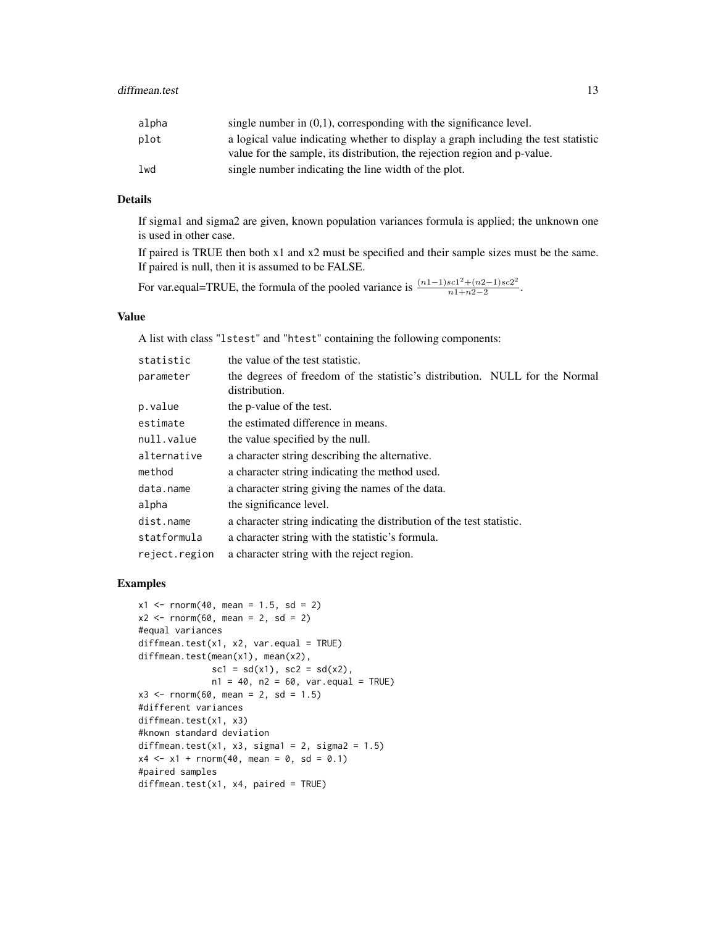| single number in $(0,1)$ , corresponding with the significance level.              |
|------------------------------------------------------------------------------------|
| a logical value indicating whether to display a graph including the test statistic |
| value for the sample, its distribution, the rejection region and p-value.          |
|                                                                                    |
|                                                                                    |

## Details

If sigma1 and sigma2 are given, known population variances formula is applied; the unknown one is used in other case.

If paired is TRUE then both x1 and x2 must be specified and their sample sizes must be the same. If paired is null, then it is assumed to be FALSE.

For var.equal=TRUE, the formula of the pooled variance is  $\frac{(n1-1)sc1^2 + (n2-1)sc2^2}{n1+n^2-2}$  $\frac{n_1+n_2-1)sc_2}{n_1+n_2-2}$ .

#### Value

A list with class "lstest" and "htest" containing the following components:

| statistic     | the value of the test statistic.                                                             |
|---------------|----------------------------------------------------------------------------------------------|
| parameter     | the degrees of freedom of the statistic's distribution. NULL for the Normal<br>distribution. |
| p.value       | the p-value of the test.                                                                     |
| estimate      | the estimated difference in means.                                                           |
| null.value    | the value specified by the null.                                                             |
| alternative   | a character string describing the alternative.                                               |
| method        | a character string indicating the method used.                                               |
| data.name     | a character string giving the names of the data.                                             |
| alpha         | the significance level.                                                                      |
| dist.name     | a character string indicating the distribution of the test statistic.                        |
| statformula   | a character string with the statistic's formula.                                             |
| reject.region | a character string with the reject region.                                                   |

#### Examples

```
x1 \le rnorm(40, mean = 1.5, sd = 2)
x2 \le - rnorm(60, mean = 2, sd = 2)
#equal variances
diffmean.test(x1, x2, var.equals = TRUE)diffmean.test(mean(x1), mean(x2),
              scl = sd(x1), sc2 = sd(x2),n1 = 40, n2 = 60, var.equals = TRUE)x3 \le rnorm(60, mean = 2, sd = 1.5)
#different variances
diffmean.test(x1, x3)
#known standard deviation
diffmean.test(x1, x3, sigma1 = 2, sigma2 = 1.5)
x4 \le -x1 + \text{norm}(40, \text{mean} = 0, \text{sd} = 0.1)#paired samples
diffmean.test(x1, x4, paired = TRUE)
```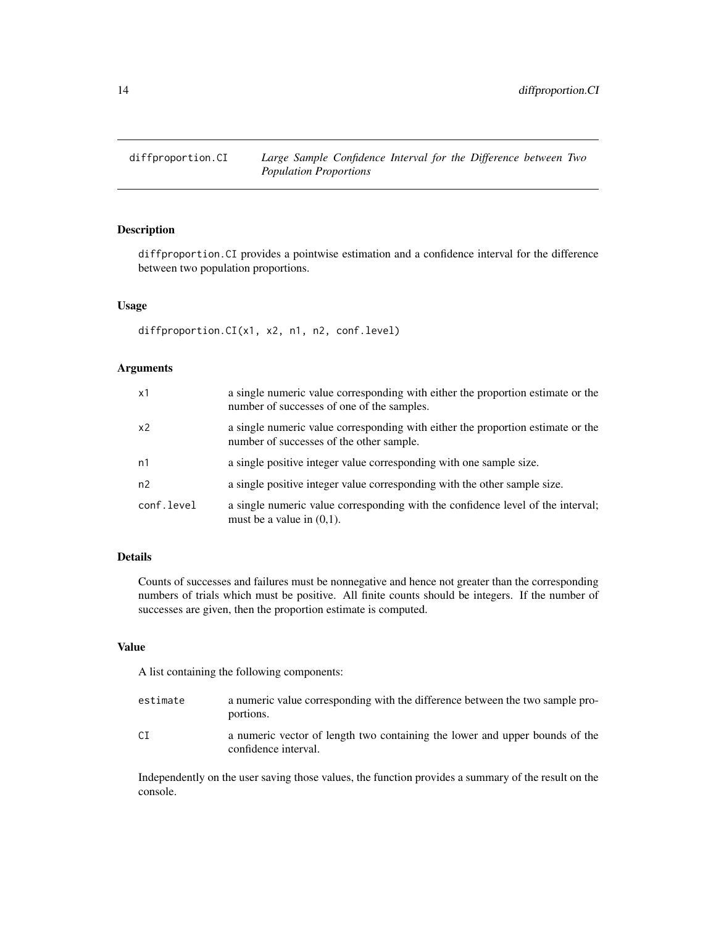<span id="page-13-1"></span><span id="page-13-0"></span>

## Description

diffproportion.CI provides a pointwise estimation and a confidence interval for the difference between two population proportions.

#### Usage

diffproportion.CI(x1, x2, n1, n2, conf.level)

## Arguments

| x1             | a single numeric value corresponding with either the proportion estimate or the<br>number of successes of one of the samples. |
|----------------|-------------------------------------------------------------------------------------------------------------------------------|
| x <sub>2</sub> | a single numeric value corresponding with either the proportion estimate or the<br>number of successes of the other sample.   |
| n1             | a single positive integer value corresponding with one sample size.                                                           |
| n2             | a single positive integer value corresponding with the other sample size.                                                     |
| conf.level     | a single numeric value corresponding with the confidence level of the interval;<br>must be a value in $(0,1)$ .               |

## Details

Counts of successes and failures must be nonnegative and hence not greater than the corresponding numbers of trials which must be positive. All finite counts should be integers. If the number of successes are given, then the proportion estimate is computed.

#### Value

A list containing the following components:

| estimate | a numeric value corresponding with the difference between the two sample pro-<br>portions.          |
|----------|-----------------------------------------------------------------------------------------------------|
| CT.      | a numeric vector of length two containing the lower and upper bounds of the<br>confidence interval. |

Independently on the user saving those values, the function provides a summary of the result on the console.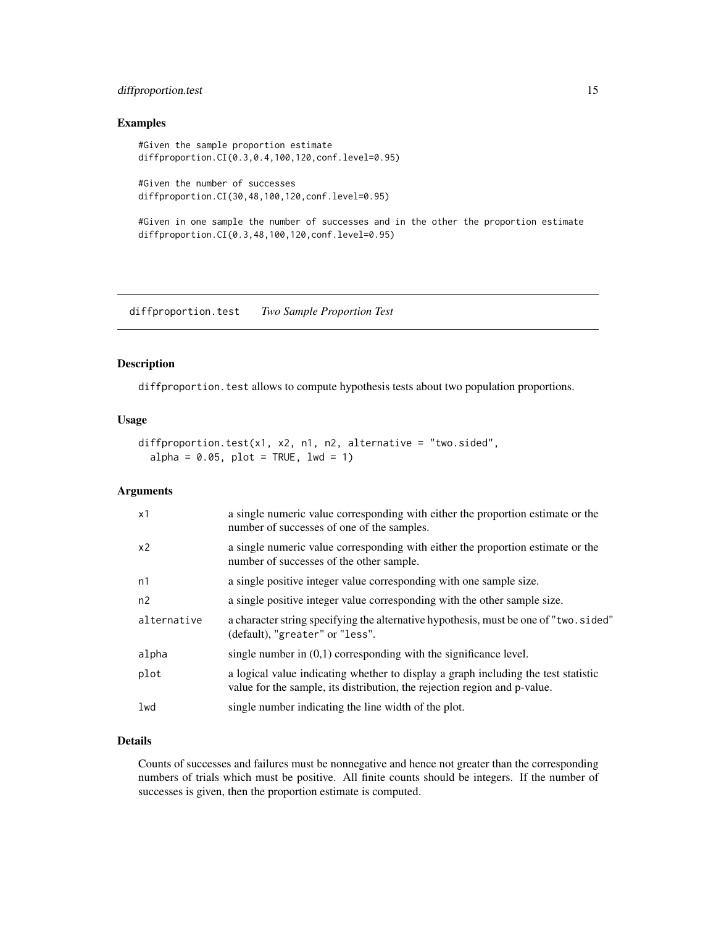## <span id="page-14-0"></span>diffproportion.test 15

#### Examples

#Given the sample proportion estimate diffproportion.CI(0.3,0.4,100,120,conf.level=0.95)

#Given the number of successes diffproportion.CI(30,48,100,120,conf.level=0.95)

#Given in one sample the number of successes and in the other the proportion estimate diffproportion.CI(0.3,48,100,120,conf.level=0.95)

<span id="page-14-1"></span>diffproportion.test *Two Sample Proportion Test*

#### Description

diffproportion.test allows to compute hypothesis tests about two population proportions.

#### Usage

```
diffproportion.test(x1, x2, n1, n2, alternative = "two.sided",
 alpha = 0.05, plot = TRUE, lwd = 1)
```
## Arguments

| x1             | a single numeric value corresponding with either the proportion estimate or the<br>number of successes of one of the samples.                                   |
|----------------|-----------------------------------------------------------------------------------------------------------------------------------------------------------------|
| x <sub>2</sub> | a single numeric value corresponding with either the proportion estimate or the<br>number of successes of the other sample.                                     |
| n1             | a single positive integer value corresponding with one sample size.                                                                                             |
| n2             | a single positive integer value corresponding with the other sample size.                                                                                       |
| alternative    | a character string specifying the alternative hypothesis, must be one of "two.sided"<br>(default), "greater" or "less".                                         |
| alpha          | single number in $(0,1)$ corresponding with the significance level.                                                                                             |
| plot           | a logical value indicating whether to display a graph including the test statistic<br>value for the sample, its distribution, the rejection region and p-value. |
| lwd            | single number indicating the line width of the plot.                                                                                                            |

#### Details

Counts of successes and failures must be nonnegative and hence not greater than the corresponding numbers of trials which must be positive. All finite counts should be integers. If the number of successes is given, then the proportion estimate is computed.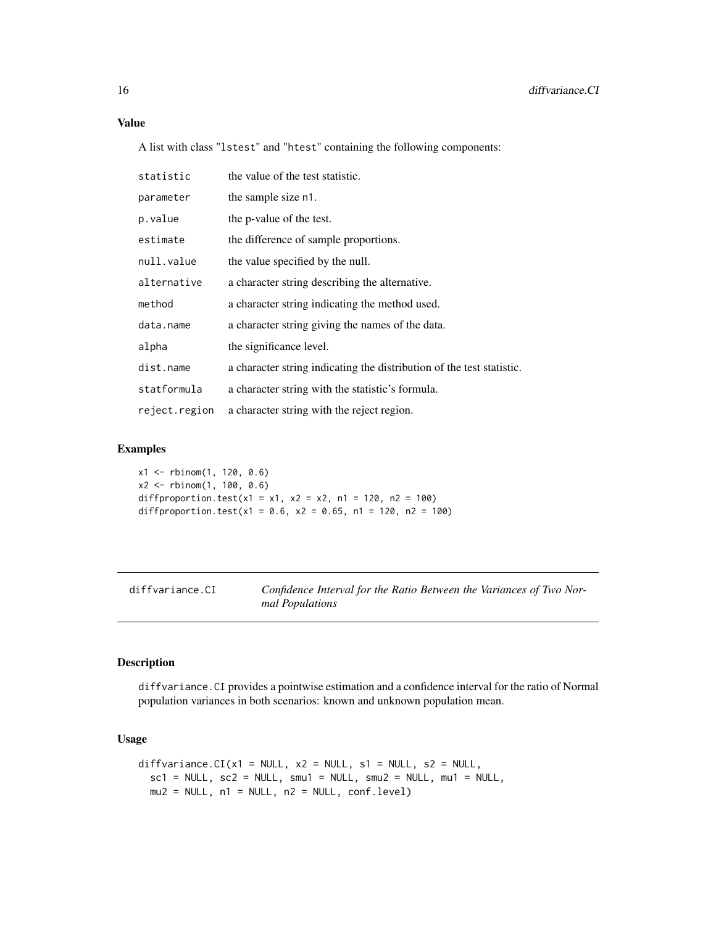#### <span id="page-15-0"></span>Value

A list with class "lstest" and "htest" containing the following components:

| statistic     | the value of the test statistic.                                      |
|---------------|-----------------------------------------------------------------------|
| parameter     | the sample size n1.                                                   |
| p.value       | the p-value of the test.                                              |
| estimate      | the difference of sample proportions.                                 |
| null.value    | the value specified by the null.                                      |
| alternative   | a character string describing the alternative.                        |
| method        | a character string indicating the method used.                        |
| data.name     | a character string giving the names of the data.                      |
| alpha         | the significance level.                                               |
| dist.name     | a character string indicating the distribution of the test statistic. |
| statformula   | a character string with the statistic's formula.                      |
| reject.region | a character string with the reject region.                            |

## Examples

```
x1 <- rbinom(1, 120, 0.6)
x2 <- rbinom(1, 100, 0.6)
diffproportion.test(x1 = x1, x2 = x2, n1 = 120, n2 = 100)
diffproportion.test(x1 = 0.6, x2 = 0.65, n1 = 120, n2 = 100)
```
<span id="page-15-1"></span>diffvariance.CI *Confidence Interval for the Ratio Between the Variances of Two Normal Populations*

## Description

diffvariance.CI provides a pointwise estimation and a confidence interval for the ratio of Normal population variances in both scenarios: known and unknown population mean.

## Usage

```
diffvariance.CI(x1 = NULL, x2 = NULL, s1 = NULL, s2 = NULL,sc1 = NULL, sc2 = NULL, smu1 = NULL, smu2 = NULL, mu1 = NULLmu2 = NULL, n1 = NULL, n2 = NULL, conf.level)
```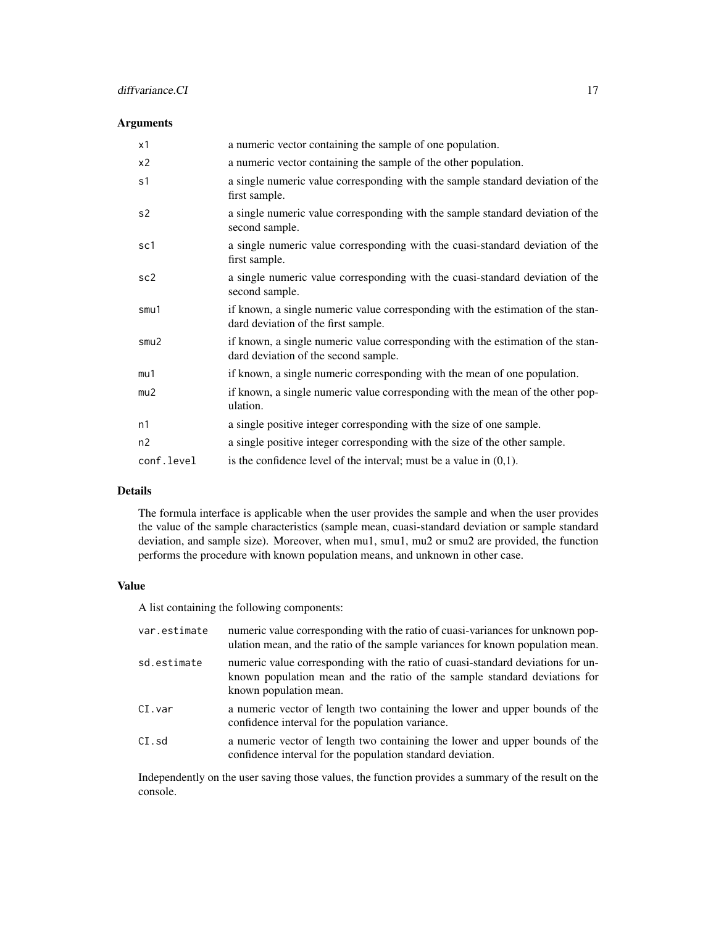#### diffvariance.CI 17

#### Arguments

| x1              | a numeric vector containing the sample of one population.                                                               |
|-----------------|-------------------------------------------------------------------------------------------------------------------------|
| x <sub>2</sub>  | a numeric vector containing the sample of the other population.                                                         |
| s <sub>1</sub>  | a single numeric value corresponding with the sample standard deviation of the<br>first sample.                         |
| s <sub>2</sub>  | a single numeric value corresponding with the sample standard deviation of the<br>second sample.                        |
| sc1             | a single numeric value corresponding with the cuasi-standard deviation of the<br>first sample.                          |
| sc <sub>2</sub> | a single numeric value corresponding with the cuasi-standard deviation of the<br>second sample.                         |
| smu1            | if known, a single numeric value corresponding with the estimation of the stan-<br>dard deviation of the first sample.  |
| smu2            | if known, a single numeric value corresponding with the estimation of the stan-<br>dard deviation of the second sample. |
| mu1             | if known, a single numeric corresponding with the mean of one population.                                               |
| mu2             | if known, a single numeric value corresponding with the mean of the other pop-<br>ulation.                              |
| n1              | a single positive integer corresponding with the size of one sample.                                                    |
| n2              | a single positive integer corresponding with the size of the other sample.                                              |
| conf.level      | is the confidence level of the interval; must be a value in $(0,1)$ .                                                   |

## Details

The formula interface is applicable when the user provides the sample and when the user provides the value of the sample characteristics (sample mean, cuasi-standard deviation or sample standard deviation, and sample size). Moreover, when mu1, smu1, mu2 or smu2 are provided, the function performs the procedure with known population means, and unknown in other case.

## Value

A list containing the following components:

| var.estimate | numeric value corresponding with the ratio of cuasi-variances for unknown pop-<br>ulation mean, and the ratio of the sample variances for known population mean.                       |
|--------------|----------------------------------------------------------------------------------------------------------------------------------------------------------------------------------------|
| sd.estimate  | numeric value corresponding with the ratio of cuasi-standard deviations for un-<br>known population mean and the ratio of the sample standard deviations for<br>known population mean. |
| CI.var       | a numeric vector of length two containing the lower and upper bounds of the<br>confidence interval for the population variance.                                                        |
| CI.sd        | a numeric vector of length two containing the lower and upper bounds of the<br>confidence interval for the population standard deviation.                                              |

Independently on the user saving those values, the function provides a summary of the result on the console.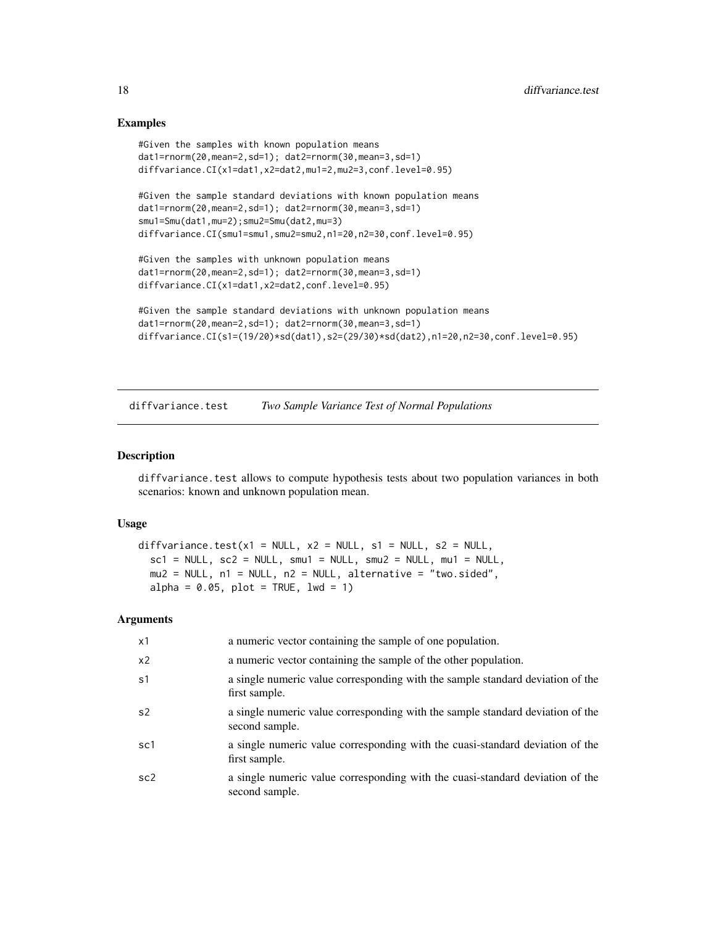#### Examples

```
#Given the samples with known population means
dat1=rnorm(20,mean=2,sd=1); dat2=rnorm(30,mean=3,sd=1)
diffvariance.CI(x1=dat1,x2=dat2,mu1=2,mu2=3,conf.level=0.95)
#Given the sample standard deviations with known population means
dat1=rnorm(20,mean=2,sd=1); dat2=rnorm(30,mean=3,sd=1)
smu1=Smu(dat1,mu=2);smu2=Smu(dat2,mu=3)
diffvariance.CI(smu1=smu1,smu2=smu2,n1=20,n2=30,conf.level=0.95)
#Given the samples with unknown population means
dat1=rnorm(20,mean=2,sd=1); dat2=rnorm(30,mean=3,sd=1)
diffvariance.CI(x1=dat1,x2=dat2,conf.level=0.95)
#Given the sample standard deviations with unknown population means
dat1=rnorm(20,mean=2,sd=1); dat2=rnorm(30,mean=3,sd=1)
diffvariance.CI(s1=(19/20)*sd(dat1),s2=(29/30)*sd(dat2),n1=20,n2=30,conf.level=0.95)
```
<span id="page-17-1"></span>diffvariance.test *Two Sample Variance Test of Normal Populations*

#### **Description**

diffvariance.test allows to compute hypothesis tests about two population variances in both scenarios: known and unknown population mean.

#### Usage

```
diffvariance.test(x1 = NULL, x2 = NULL, s1 = NULL, s2 = NULL,
  sc1 = NULL, sc2 = NULL, smu1 = NULL, smu2 = NULL, mu1 = NULLmu2 = NULL, n1 = NULL, n2 = NULL, alternative = "two.sided",
 alpha = 0.05, plot = TRUE, lwd = 1)
```

| x1              | a numeric vector containing the sample of one population.                                        |
|-----------------|--------------------------------------------------------------------------------------------------|
| x <sub>2</sub>  | a numeric vector containing the sample of the other population.                                  |
| s <sub>1</sub>  | a single numeric value corresponding with the sample standard deviation of the<br>first sample.  |
| s <sub>2</sub>  | a single numeric value corresponding with the sample standard deviation of the<br>second sample. |
| sc1             | a single numeric value corresponding with the cuasi-standard deviation of the<br>first sample.   |
| sc <sub>2</sub> | a single numeric value corresponding with the cuasi-standard deviation of the<br>second sample.  |

<span id="page-17-0"></span>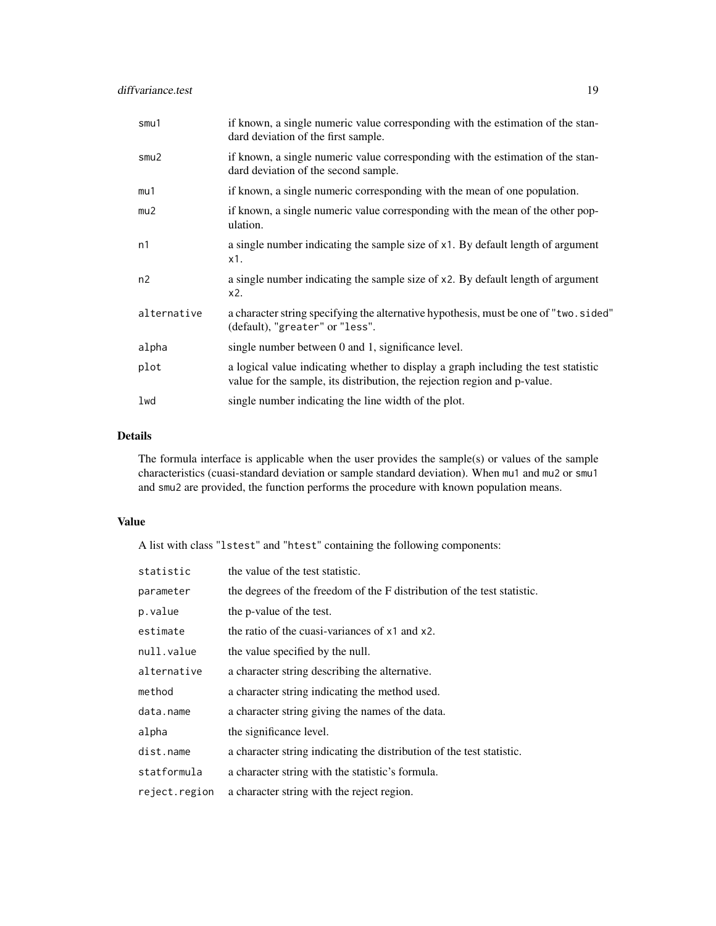| smu1        | if known, a single numeric value corresponding with the estimation of the stan-<br>dard deviation of the first sample.                                          |
|-------------|-----------------------------------------------------------------------------------------------------------------------------------------------------------------|
| smu2        | if known, a single numeric value corresponding with the estimation of the stan-<br>dard deviation of the second sample.                                         |
| mu1         | if known, a single numeric corresponding with the mean of one population.                                                                                       |
| mu2         | if known, a single numeric value corresponding with the mean of the other pop-<br>ulation.                                                                      |
| n1          | a single number indicating the sample size of x1. By default length of argument<br>$x1$ .                                                                       |
| n2          | a single number indicating the sample size of x2. By default length of argument<br>x2.                                                                          |
| alternative | a character string specifying the alternative hypothesis, must be one of "two. sided"<br>(default), "greater" or "less".                                        |
| alpha       | single number between 0 and 1, significance level.                                                                                                              |
| plot        | a logical value indicating whether to display a graph including the test statistic<br>value for the sample, its distribution, the rejection region and p-value. |
| lwd         | single number indicating the line width of the plot.                                                                                                            |

#### Details

The formula interface is applicable when the user provides the sample(s) or values of the sample characteristics (cuasi-standard deviation or sample standard deviation). When mu1 and mu2 or smu1 and smu2 are provided, the function performs the procedure with known population means.

## Value

A list with class "lstest" and "htest" containing the following components:

| statistic     | the value of the test statistic.                                        |
|---------------|-------------------------------------------------------------------------|
| parameter     | the degrees of the freedom of the F distribution of the test statistic. |
| p.value       | the p-value of the test.                                                |
| estimate      | the ratio of the cuasi-variances of x1 and x2.                          |
| null.value    | the value specified by the null.                                        |
| alternative   | a character string describing the alternative.                          |
| method        | a character string indicating the method used.                          |
| data.name     | a character string giving the names of the data.                        |
| alpha         | the significance level.                                                 |
| dist.name     | a character string indicating the distribution of the test statistic.   |
| statformula   | a character string with the statistic's formula.                        |
| reject.region | a character string with the reject region.                              |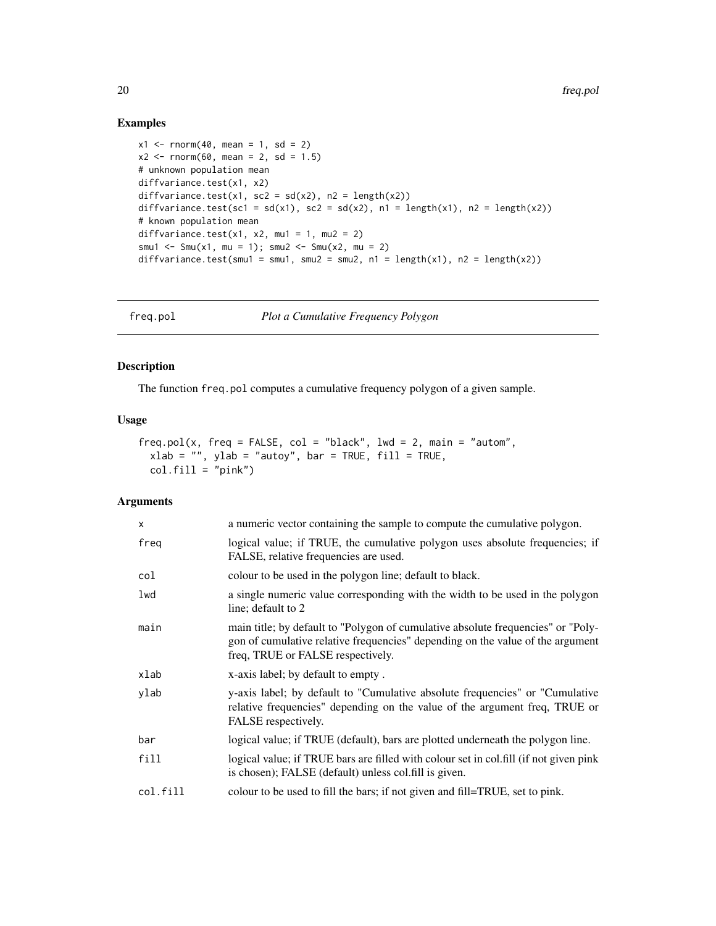## Examples

```
x1 \le - rnorm(40, mean = 1, sd = 2)
x2 \le rnorm(60, mean = 2, sd = 1.5)
# unknown population mean
diffvariance.test(x1, x2)
diffvariance.test(x1, sc2 = sd(x2), n2 = length(x2))
diffvariance.test(sc1 = sd(x1), sc2 = sd(x2), n1 = length(x1), n2 = length(x2))
# known population mean
diffvariance.test(x1, x2, mu1 = 1, mu2 = 2)
smu1 <- Smu(x1, mu = 1); smu2 <- Smu(x2, mu = 2)diffvariance.test(smu1 = smu1, smu2 = smu2, n1 = length(x1), n2 = length(x2))
```
<span id="page-19-1"></span>freq.pol *Plot a Cumulative Frequency Polygon*

## Description

The function freq.pol computes a cumulative frequency polygon of a given sample.

#### Usage

```
freq.pol(x, freq = FALSE, col = "black", lwd = 2, main = "autom",
 xlab = "", ylab = "autoy", bar = TRUE, fill = TRUE,col.fill = "pink")
```

| $\mathsf{x}$ | a numeric vector containing the sample to compute the cumulative polygon.                                                                                                                               |
|--------------|---------------------------------------------------------------------------------------------------------------------------------------------------------------------------------------------------------|
| freg         | logical value; if TRUE, the cumulative polygon uses absolute frequencies; if<br>FALSE, relative frequencies are used.                                                                                   |
| col          | colour to be used in the polygon line; default to black.                                                                                                                                                |
| lwd          | a single numeric value corresponding with the width to be used in the polygon<br>line; default to 2                                                                                                     |
| main         | main title; by default to "Polygon of cumulative absolute frequencies" or "Poly-<br>gon of cumulative relative frequencies" depending on the value of the argument<br>freq, TRUE or FALSE respectively. |
| xlab         | x-axis label; by default to empty.                                                                                                                                                                      |
| ylab         | y-axis label; by default to "Cumulative absolute frequencies" or "Cumulative"<br>relative frequencies" depending on the value of the argument freq, TRUE or<br>FALSE respectively.                      |
| bar          | logical value; if TRUE (default), bars are plotted underneath the polygon line.                                                                                                                         |
| fill         | logical value; if TRUE bars are filled with colour set in col.fill (if not given pink<br>is chosen); FALSE (default) unless col.fill is given.                                                          |
| col.fill     | colour to be used to fill the bars; if not given and fill=TRUE, set to pink.                                                                                                                            |

<span id="page-19-0"></span>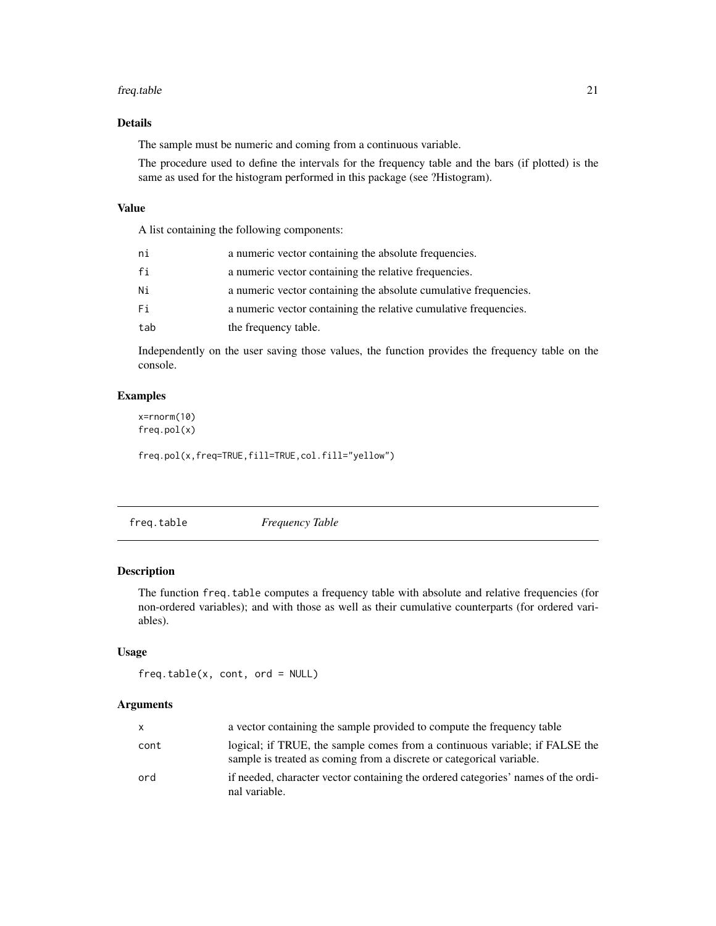#### <span id="page-20-0"></span>freq.table 21

## Details

The sample must be numeric and coming from a continuous variable.

The procedure used to define the intervals for the frequency table and the bars (if plotted) is the same as used for the histogram performed in this package (see ?Histogram).

#### Value

A list containing the following components:

| ni  | a numeric vector containing the absolute frequencies.            |
|-----|------------------------------------------------------------------|
| fi  | a numeric vector containing the relative frequencies.            |
| Ni  | a numeric vector containing the absolute cumulative frequencies. |
| Fi  | a numeric vector containing the relative cumulative frequencies. |
| tab | the frequency table.                                             |

Independently on the user saving those values, the function provides the frequency table on the console.

## Examples

x=rnorm(10) freq.pol(x)

freq.pol(x,freq=TRUE,fill=TRUE,col.fill="yellow")

<span id="page-20-1"></span>freq.table *Frequency Table*

## Description

The function freq.table computes a frequency table with absolute and relative frequencies (for non-ordered variables); and with those as well as their cumulative counterparts (for ordered variables).

## Usage

freq.table(x, cont, ord = NULL)

| $\mathsf{x}$ | a vector containing the sample provided to compute the frequency table                                                                              |
|--------------|-----------------------------------------------------------------------------------------------------------------------------------------------------|
| cont         | logical; if TRUE, the sample comes from a continuous variable; if FALSE the<br>sample is treated as coming from a discrete or categorical variable. |
| ord          | if needed, character vector containing the ordered categories' names of the ordi-<br>nal variable.                                                  |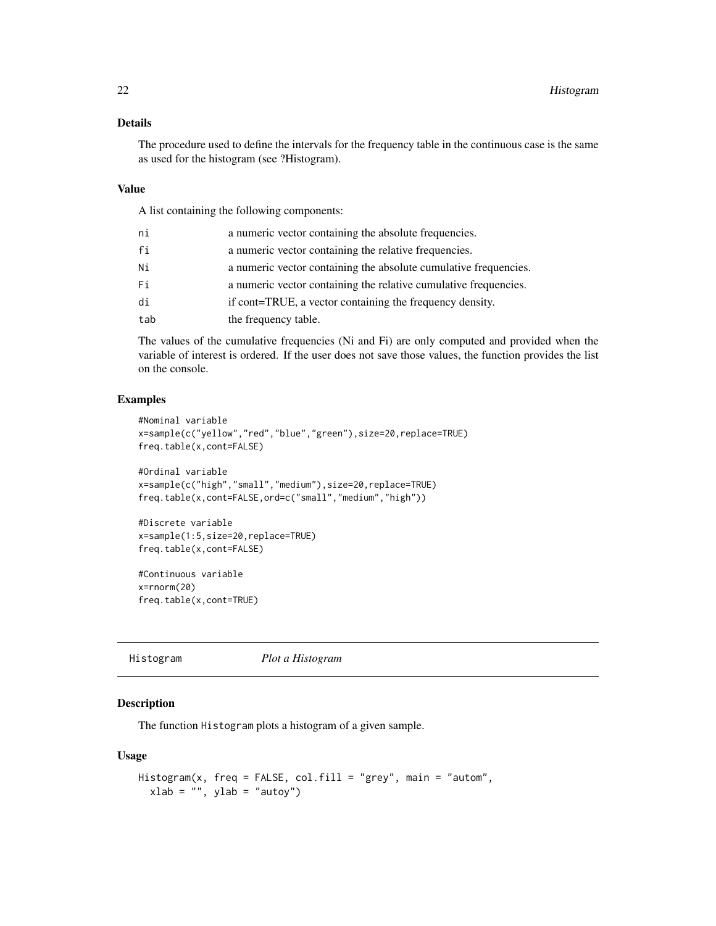#### <span id="page-21-0"></span>Details

The procedure used to define the intervals for the frequency table in the continuous case is the same as used for the histogram (see ?Histogram).

#### Value

A list containing the following components:

| ni  | a numeric vector containing the absolute frequencies.            |
|-----|------------------------------------------------------------------|
| fi  | a numeric vector containing the relative frequencies.            |
| Ni  | a numeric vector containing the absolute cumulative frequencies. |
| Fi  | a numeric vector containing the relative cumulative frequencies. |
| di  | if cont=TRUE, a vector containing the frequency density.         |
| tab | the frequency table.                                             |

The values of the cumulative frequencies (Ni and Fi) are only computed and provided when the variable of interest is ordered. If the user does not save those values, the function provides the list on the console.

## Examples

```
#Nominal variable
x=sample(c("yellow","red","blue","green"),size=20,replace=TRUE)
freq.table(x,cont=FALSE)
#Ordinal variable
x=sample(c("high","small","medium"),size=20,replace=TRUE)
freq.table(x,cont=FALSE,ord=c("small","medium","high"))
#Discrete variable
```

```
x=sample(1:5,size=20,replace=TRUE)
freq.table(x,cont=FALSE)
```
#Continuous variable x=rnorm(20) freq.table(x,cont=TRUE)

<span id="page-21-1"></span>Histogram *Plot a Histogram*

#### Description

The function Histogram plots a histogram of a given sample.

#### Usage

```
Histogram(x, freq = FALSE, col.fill = "grey", main = "autom",
 xlab = "", ylab = "autoy")
```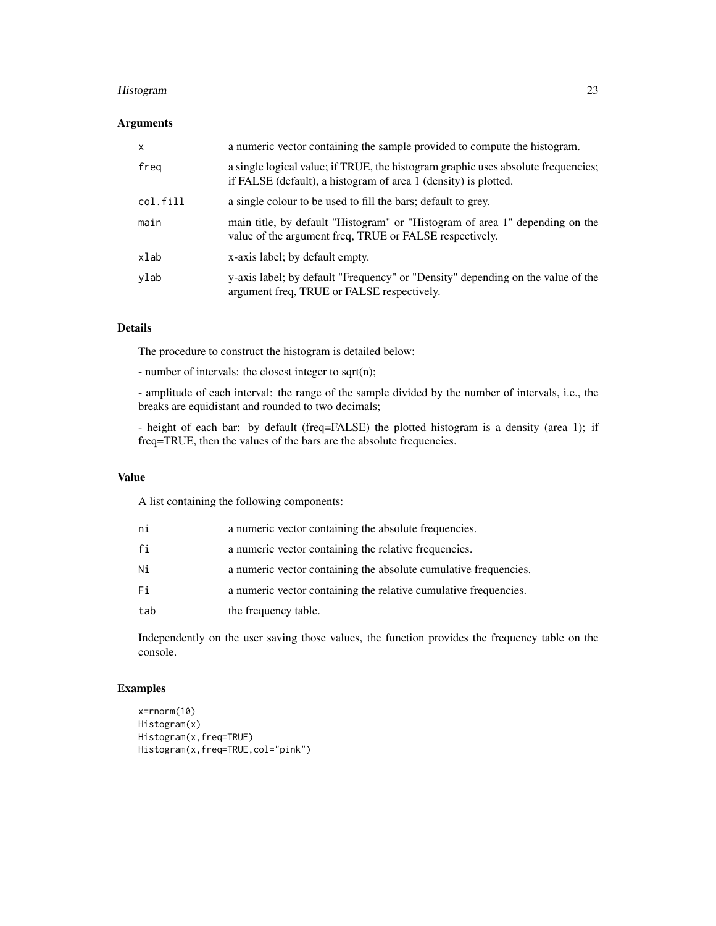## Histogram 23

#### Arguments

| $\mathsf{x}$ | a numeric vector containing the sample provided to compute the histogram.                                                                            |
|--------------|------------------------------------------------------------------------------------------------------------------------------------------------------|
| freg         | a single logical value; if TRUE, the histogram graphic uses absolute frequencies;<br>if FALSE (default), a histogram of area 1 (density) is plotted. |
| col.fill     | a single colour to be used to fill the bars; default to grey.                                                                                        |
| main         | main title, by default "Histogram" or "Histogram of area 1" depending on the<br>value of the argument freq, TRUE or FALSE respectively.              |
| xlab         | x-axis label; by default empty.                                                                                                                      |
| ylab         | y-axis label; by default "Frequency" or "Density" depending on the value of the<br>argument freq, TRUE or FALSE respectively.                        |

#### Details

The procedure to construct the histogram is detailed below:

- number of intervals: the closest integer to sqrt(n);

- amplitude of each interval: the range of the sample divided by the number of intervals, i.e., the breaks are equidistant and rounded to two decimals;

- height of each bar: by default (freq=FALSE) the plotted histogram is a density (area 1); if freq=TRUE, then the values of the bars are the absolute frequencies.

## Value

A list containing the following components:

| ni  | a numeric vector containing the absolute frequencies.            |
|-----|------------------------------------------------------------------|
| fi  | a numeric vector containing the relative frequencies.            |
| Ni  | a numeric vector containing the absolute cumulative frequencies. |
| Fi  | a numeric vector containing the relative cumulative frequencies. |
| tab | the frequency table.                                             |

Independently on the user saving those values, the function provides the frequency table on the console.

## Examples

```
x=rnorm(10)
Histogram(x)
Histogram(x,freq=TRUE)
Histogram(x,freq=TRUE,col="pink")
```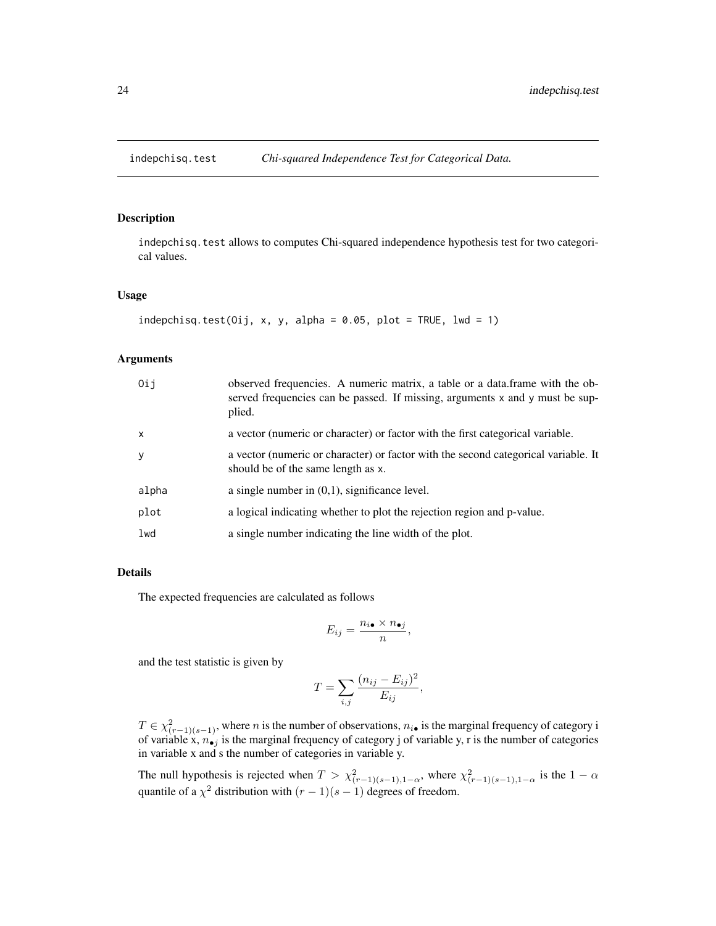<span id="page-23-1"></span><span id="page-23-0"></span>

## Description

indepchisq.test allows to computes Chi-squared independence hypothesis test for two categorical values.

#### Usage

```
indepchisq.test(Oij, x, y, alpha = 0.05, plot = TRUE, lwd = 1)
```
## Arguments

| 0ij          | observed frequencies. A numeric matrix, a table or a data.frame with the ob-<br>served frequencies can be passed. If missing, arguments x and y must be sup-<br>plied. |
|--------------|------------------------------------------------------------------------------------------------------------------------------------------------------------------------|
| $\mathsf{x}$ | a vector (numeric or character) or factor with the first categorical variable.                                                                                         |
| y            | a vector (numeric or character) or factor with the second categorical variable. It<br>should be of the same length as x.                                               |
| alpha        | a single number in $(0,1)$ , significance level.                                                                                                                       |
| plot         | a logical indicating whether to plot the rejection region and p-value.                                                                                                 |
| lwd          | a single number indicating the line width of the plot.                                                                                                                 |

#### Details

The expected frequencies are calculated as follows

$$
E_{ij} = \frac{n_{i\bullet} \times n_{\bullet j}}{n},
$$

and the test statistic is given by

$$
T = \sum_{i,j} \frac{(n_{ij} - E_{ij})^2}{E_{ij}},
$$

 $T \in \chi^2_{(r-1)(s-1)}$ , where n is the number of observations,  $n_{i\bullet}$  is the marginal frequency of category i of variable x,  $n_{\bullet j}$  is the marginal frequency of category j of variable y, r is the number of categories in variable x and s the number of categories in variable y.

The null hypothesis is rejected when  $T > \chi^2_{(r-1)(s-1),1-\alpha}$ , where  $\chi^2_{(r-1)(s-1),1-\alpha}$  is the  $1-\alpha$ quantile of a  $\chi^2$  distribution with  $(r-1)(s-1)$  degrees of freedom.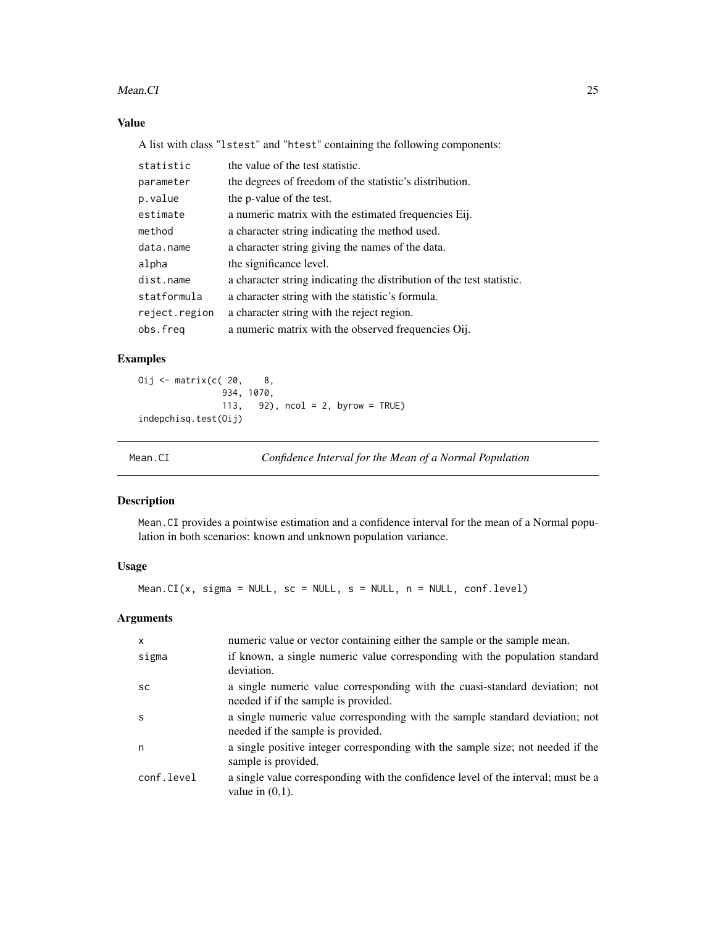#### <span id="page-24-0"></span>Mean.CI 25

## Value

A list with class "lstest" and "htest" containing the following components:

| statistic     | the value of the test statistic.                                      |
|---------------|-----------------------------------------------------------------------|
| parameter     | the degrees of freedom of the statistic's distribution.               |
| p.value       | the p-value of the test.                                              |
| estimate      | a numeric matrix with the estimated frequencies Eij.                  |
| method        | a character string indicating the method used.                        |
| data.name     | a character string giving the names of the data.                      |
| alpha         | the significance level.                                               |
| dist.name     | a character string indicating the distribution of the test statistic. |
| statformula   | a character string with the statistic's formula.                      |
| reject.region | a character string with the reject region.                            |
| obs.freq      | a numeric matrix with the observed frequencies Oij.                   |

## Examples

Oij <- matrix( $c( 20, 8, 8)$ 934, 1070, 113, 92), ncol = 2, byrow = TRUE) indepchisq.test(Oij)

<span id="page-24-1"></span>

Mean.CI *Confidence Interval for the Mean of a Normal Population*

## Description

Mean.CI provides a pointwise estimation and a confidence interval for the mean of a Normal population in both scenarios: known and unknown population variance.

## Usage

Mean.CI(x, sigma = NULL, sc = NULL, s = NULL, n = NULL, conf.level)

| $\mathsf{x}$ | numeric value or vector containing either the sample or the sample mean.                                            |
|--------------|---------------------------------------------------------------------------------------------------------------------|
| sigma        | if known, a single numeric value corresponding with the population standard<br>deviation.                           |
| <b>SC</b>    | a single numeric value corresponding with the cuasi-standard deviation; not<br>needed if if the sample is provided. |
| <sub>S</sub> | a single numeric value corresponding with the sample standard deviation; not<br>needed if the sample is provided.   |
| n            | a single positive integer corresponding with the sample size; not needed if the<br>sample is provided.              |
| conf.level   | a single value corresponding with the confidence level of the interval; must be a<br>value in $(0,1)$ .             |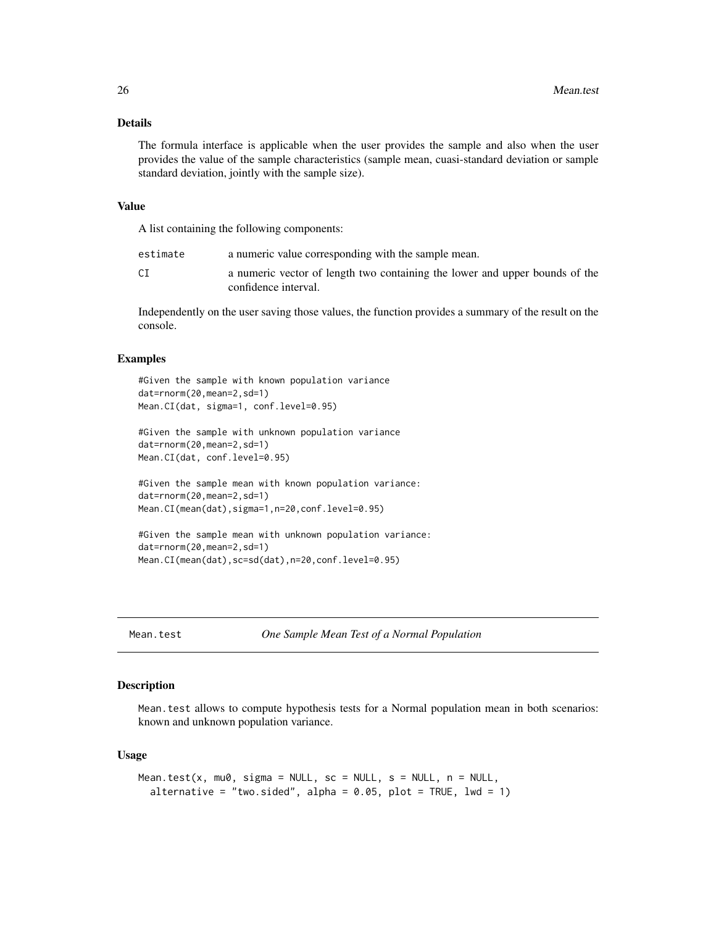#### <span id="page-25-0"></span>Details

The formula interface is applicable when the user provides the sample and also when the user provides the value of the sample characteristics (sample mean, cuasi-standard deviation or sample standard deviation, jointly with the sample size).

#### Value

A list containing the following components:

| estimate | a numeric value corresponding with the sample mean.                                                 |
|----------|-----------------------------------------------------------------------------------------------------|
|          | a numeric vector of length two containing the lower and upper bounds of the<br>confidence interval. |

Independently on the user saving those values, the function provides a summary of the result on the console.

## Examples

```
#Given the sample with known population variance
dat=rnorm(20,mean=2,sd=1)
Mean.CI(dat, sigma=1, conf.level=0.95)
#Given the sample with unknown population variance
dat=rnorm(20,mean=2,sd=1)
Mean.CI(dat, conf.level=0.95)
```

```
#Given the sample mean with known population variance:
dat=rnorm(20,mean=2,sd=1)
Mean.CI(mean(dat),sigma=1,n=20,conf.level=0.95)
```

```
#Given the sample mean with unknown population variance:
dat=rnorm(20,mean=2,sd=1)
Mean.CI(mean(dat),sc=sd(dat),n=20,conf.level=0.95)
```
<span id="page-25-1"></span>Mean.test *One Sample Mean Test of a Normal Population*

#### Description

Mean.test allows to compute hypothesis tests for a Normal population mean in both scenarios: known and unknown population variance.

#### Usage

```
Mean.test(x, mu0, sigma = NULL, sc = NULL, s = NULL, n = NULL,
  alternative = "two.sided", alpha = 0.05, plot = TRUE, lwd = 1)
```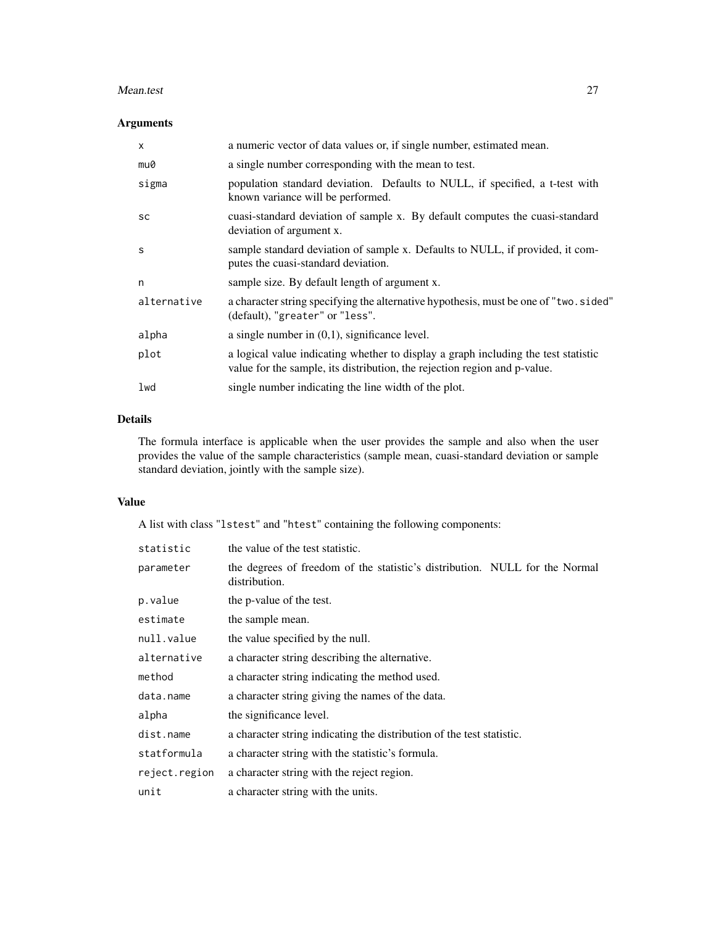#### Mean.test 27

## Arguments

| X           | a numeric vector of data values or, if single number, estimated mean.                                                                                           |
|-------------|-----------------------------------------------------------------------------------------------------------------------------------------------------------------|
| mu0         | a single number corresponding with the mean to test.                                                                                                            |
| sigma       | population standard deviation. Defaults to NULL, if specified, a t-test with<br>known variance will be performed.                                               |
| <b>SC</b>   | cuasi-standard deviation of sample x. By default computes the cuasi-standard<br>deviation of argument x.                                                        |
| S           | sample standard deviation of sample x. Defaults to NULL, if provided, it com-<br>putes the cuasi-standard deviation.                                            |
| n           | sample size. By default length of argument x.                                                                                                                   |
| alternative | a character string specifying the alternative hypothesis, must be one of "two.sided"<br>(default), "greater" or "less".                                         |
| alpha       | a single number in $(0,1)$ , significance level.                                                                                                                |
| plot        | a logical value indicating whether to display a graph including the test statistic<br>value for the sample, its distribution, the rejection region and p-value. |
| lwd         | single number indicating the line width of the plot.                                                                                                            |
|             |                                                                                                                                                                 |

## Details

The formula interface is applicable when the user provides the sample and also when the user provides the value of the sample characteristics (sample mean, cuasi-standard deviation or sample standard deviation, jointly with the sample size).

## Value

A list with class "lstest" and "htest" containing the following components:

| statistic     | the value of the test statistic.                                                             |
|---------------|----------------------------------------------------------------------------------------------|
| parameter     | the degrees of freedom of the statistic's distribution. NULL for the Normal<br>distribution. |
| p.value       | the p-value of the test.                                                                     |
| estimate      | the sample mean.                                                                             |
| null.value    | the value specified by the null.                                                             |
| alternative   | a character string describing the alternative.                                               |
| method        | a character string indicating the method used.                                               |
| data.name     | a character string giving the names of the data.                                             |
| alpha         | the significance level.                                                                      |
| dist.name     | a character string indicating the distribution of the test statistic.                        |
| statformula   | a character string with the statistic's formula.                                             |
| reject.region | a character string with the reject region.                                                   |
| unit          | a character string with the units.                                                           |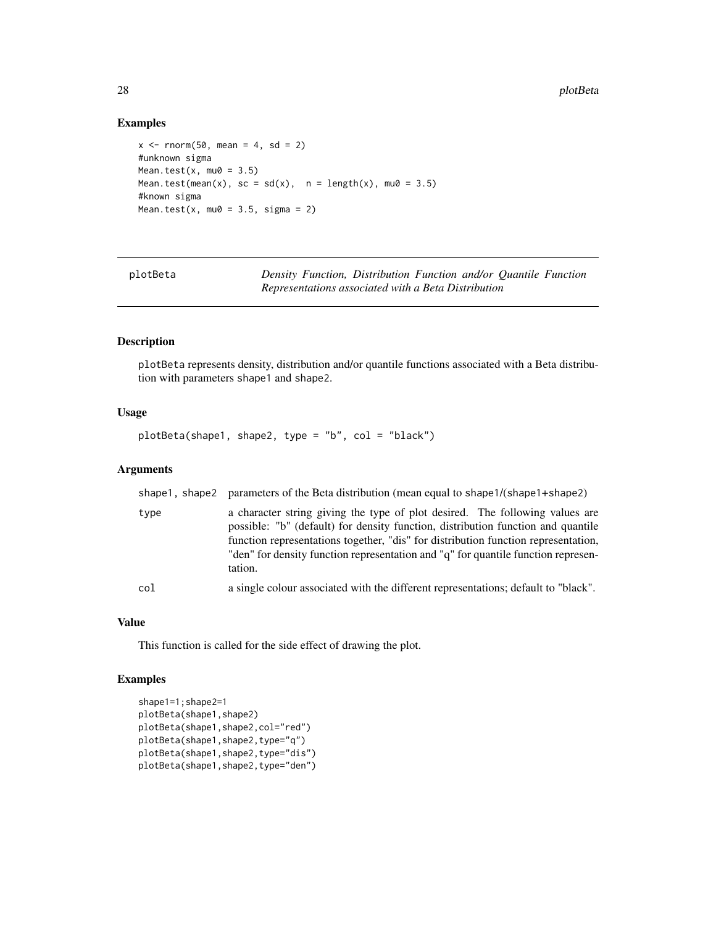## Examples

```
x \le rnorm(50, mean = 4, sd = 2)
#unknown sigma
Mean.test(x, mu\theta = 3.5)
Mean.test(mean(x), sc = sd(x), n = length(x), mu0 = 3.5)
#known sigma
Mean.test(x, mu0 = 3.5, sigma = 2)
```
<span id="page-27-1"></span>

| plotBeta |  | Density Function, Distribution Function and/or Quantile Function |  |  |
|----------|--|------------------------------------------------------------------|--|--|
|          |  | Representations associated with a Beta Distribution              |  |  |

## Description

plotBeta represents density, distribution and/or quantile functions associated with a Beta distribution with parameters shape1 and shape2.

## Usage

```
plotBeta(shape1, shape2, type = "b", col = "black")
```
#### Arguments

|      | shape1, shape2 parameters of the Beta distribution (mean equal to shape1/(shape1+shape2)                                                                                                                                                                                                                                                               |
|------|--------------------------------------------------------------------------------------------------------------------------------------------------------------------------------------------------------------------------------------------------------------------------------------------------------------------------------------------------------|
| type | a character string giving the type of plot desired. The following values are<br>possible: "b" (default) for density function, distribution function and quantile<br>function representations together, "dis" for distribution function representation,<br>"den" for density function representation and "q" for quantile function represen-<br>tation. |
| col  | a single colour associated with the different representations; default to "black".                                                                                                                                                                                                                                                                     |

## Value

This function is called for the side effect of drawing the plot.

#### Examples

```
shape1=1;shape2=1
plotBeta(shape1,shape2)
plotBeta(shape1,shape2,col="red")
plotBeta(shape1,shape2,type="q")
plotBeta(shape1,shape2,type="dis")
plotBeta(shape1,shape2,type="den")
```
<span id="page-27-0"></span>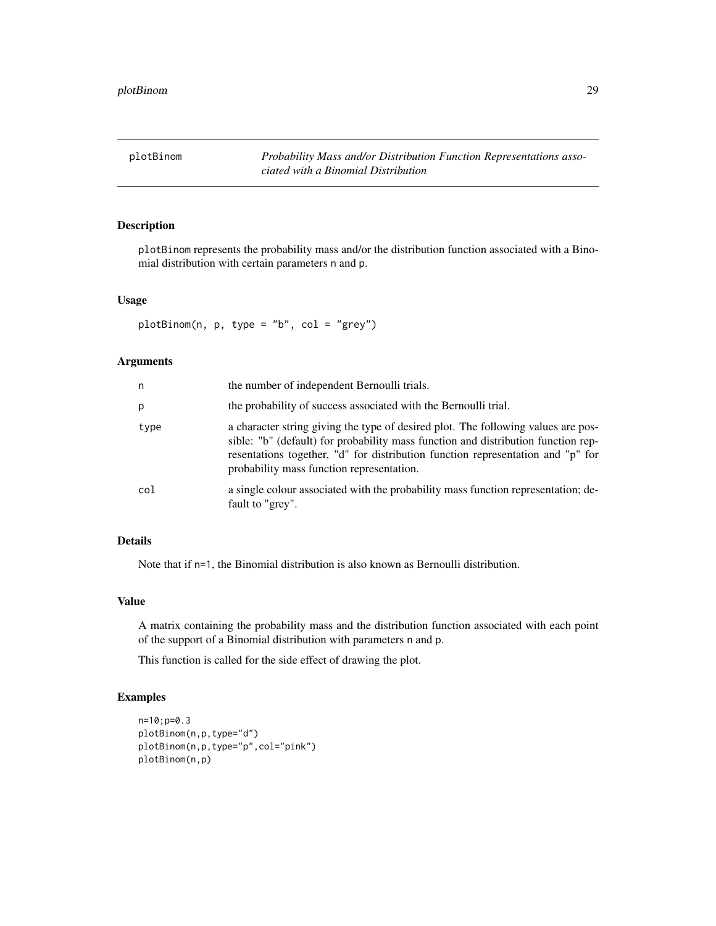<span id="page-28-1"></span><span id="page-28-0"></span>plotBinom *Probability Mass and/or Distribution Function Representations associated with a Binomial Distribution*

## Description

plotBinom represents the probability mass and/or the distribution function associated with a Binomial distribution with certain parameters n and p.

#### Usage

plotBinom(n, p, type = "b", col = "grey")

#### Arguments

| n    | the number of independent Bernoulli trials.                                                                                                                                                                                                                                                            |
|------|--------------------------------------------------------------------------------------------------------------------------------------------------------------------------------------------------------------------------------------------------------------------------------------------------------|
| p    | the probability of success associated with the Bernoulli trial.                                                                                                                                                                                                                                        |
| type | a character string giving the type of desired plot. The following values are pos-<br>sible: "b" (default) for probability mass function and distribution function rep-<br>resentations together, "d" for distribution function representation and "p" for<br>probability mass function representation. |
| col  | a single colour associated with the probability mass function representation; de-<br>fault to "grey".                                                                                                                                                                                                  |

## Details

Note that if n=1, the Binomial distribution is also known as Bernoulli distribution.

#### Value

A matrix containing the probability mass and the distribution function associated with each point of the support of a Binomial distribution with parameters n and p.

This function is called for the side effect of drawing the plot.

#### Examples

```
n=10;p=0.3
plotBinom(n,p,type="d")
plotBinom(n,p,type="p",col="pink")
plotBinom(n,p)
```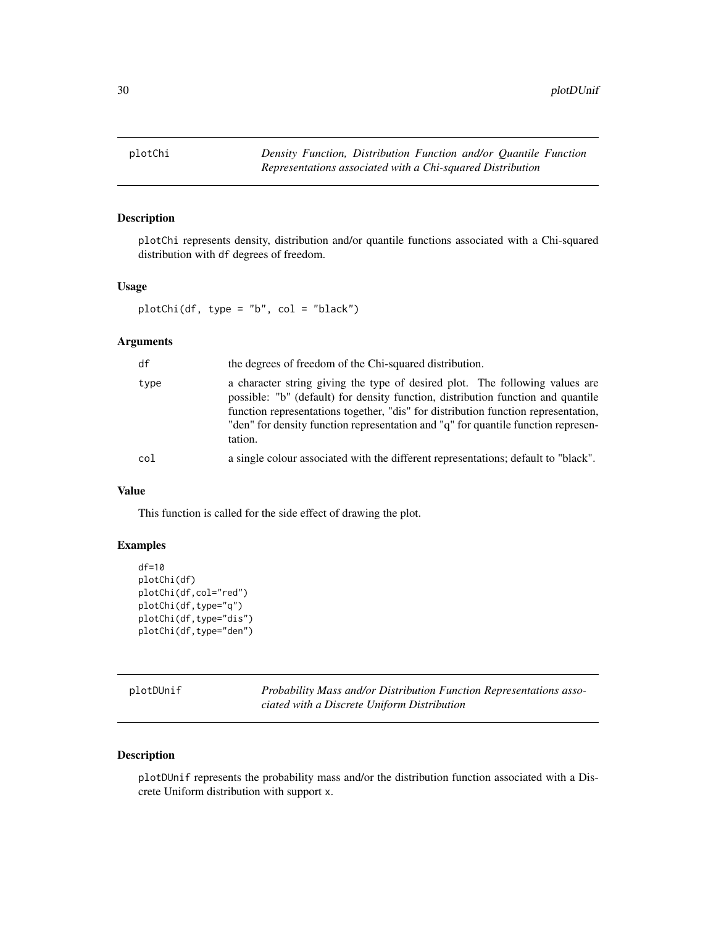<span id="page-29-2"></span><span id="page-29-0"></span>

## Description

plotChi represents density, distribution and/or quantile functions associated with a Chi-squared distribution with df degrees of freedom.

#### Usage

```
plotChi(df, type = "b", col = "black")
```
## Arguments

| df   | the degrees of freedom of the Chi-squared distribution.                                                                                                                                                                                                                                                                                                |
|------|--------------------------------------------------------------------------------------------------------------------------------------------------------------------------------------------------------------------------------------------------------------------------------------------------------------------------------------------------------|
| type | a character string giving the type of desired plot. The following values are<br>possible: "b" (default) for density function, distribution function and quantile<br>function representations together, "dis" for distribution function representation,<br>"den" for density function representation and "q" for quantile function represen-<br>tation. |
| col  | a single colour associated with the different representations; default to "black".                                                                                                                                                                                                                                                                     |

## Value

This function is called for the side effect of drawing the plot.

#### Examples

```
df=10
plotChi(df)
plotChi(df,col="red")
plotChi(df,type="q")
plotChi(df,type="dis")
plotChi(df,type="den")
```
<span id="page-29-1"></span>

| plotDUnif |  |
|-----------|--|
|-----------|--|

Probability Mass and/or Distribution Function Representations asso*ciated with a Discrete Uniform Distribution*

#### Description

plotDUnif represents the probability mass and/or the distribution function associated with a Discrete Uniform distribution with support x.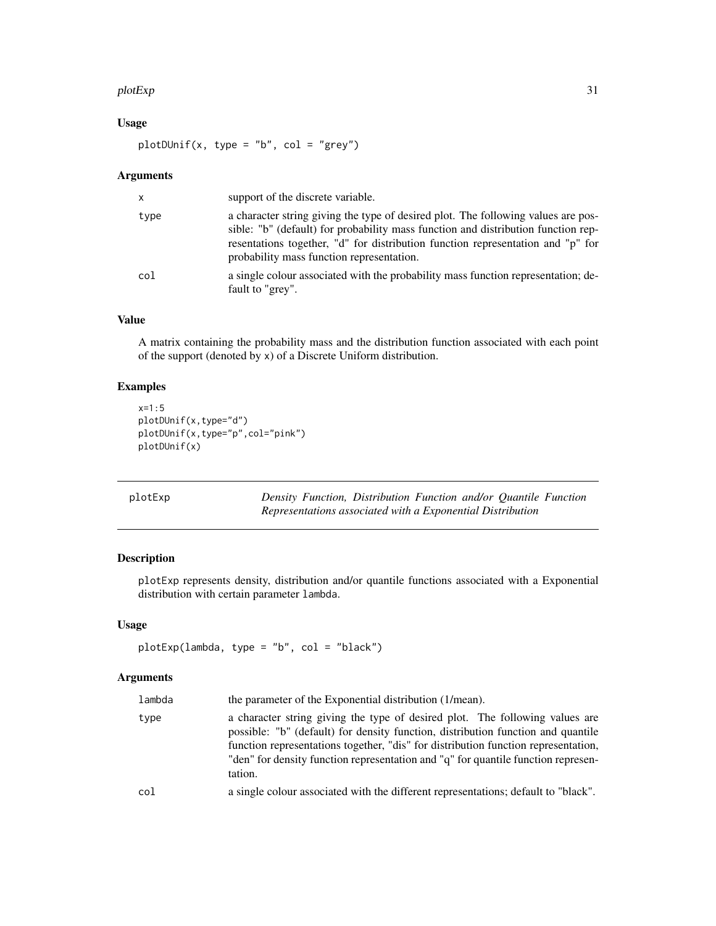#### <span id="page-30-0"></span>plotExp 31

## Usage

 $plotDUnit(x, type = "b", col = "grey")$ 

#### Arguments

| $\mathsf{x}$ | support of the discrete variable.                                                                                                                                                                                                                                                                      |
|--------------|--------------------------------------------------------------------------------------------------------------------------------------------------------------------------------------------------------------------------------------------------------------------------------------------------------|
| type         | a character string giving the type of desired plot. The following values are pos-<br>sible: "b" (default) for probability mass function and distribution function rep-<br>resentations together, "d" for distribution function representation and "p" for<br>probability mass function representation. |
| col          | a single colour associated with the probability mass function representation; de-<br>fault to "grey".                                                                                                                                                                                                  |

## Value

A matrix containing the probability mass and the distribution function associated with each point of the support (denoted by x) of a Discrete Uniform distribution.

## Examples

```
x=1:5
plotDUnif(x,type="d")
plotDUnif(x,type="p",col="pink")
plotDUnif(x)
```
<span id="page-30-1"></span>

| plotExp | Density Function, Distribution Function and/or Quantile Function |
|---------|------------------------------------------------------------------|
|         | Representations associated with a Exponential Distribution       |

## Description

plotExp represents density, distribution and/or quantile functions associated with a Exponential distribution with certain parameter lambda.

## Usage

```
plotExp(lambda, type = "b", col = "black")
```

| lambda | the parameter of the Exponential distribution (1/mean).                                                                                                                                                                                                                                                                                                |
|--------|--------------------------------------------------------------------------------------------------------------------------------------------------------------------------------------------------------------------------------------------------------------------------------------------------------------------------------------------------------|
| type   | a character string giving the type of desired plot. The following values are<br>possible: "b" (default) for density function, distribution function and quantile<br>function representations together, "dis" for distribution function representation,<br>"den" for density function representation and "q" for quantile function represen-<br>tation. |
| col    | a single colour associated with the different representations; default to "black".                                                                                                                                                                                                                                                                     |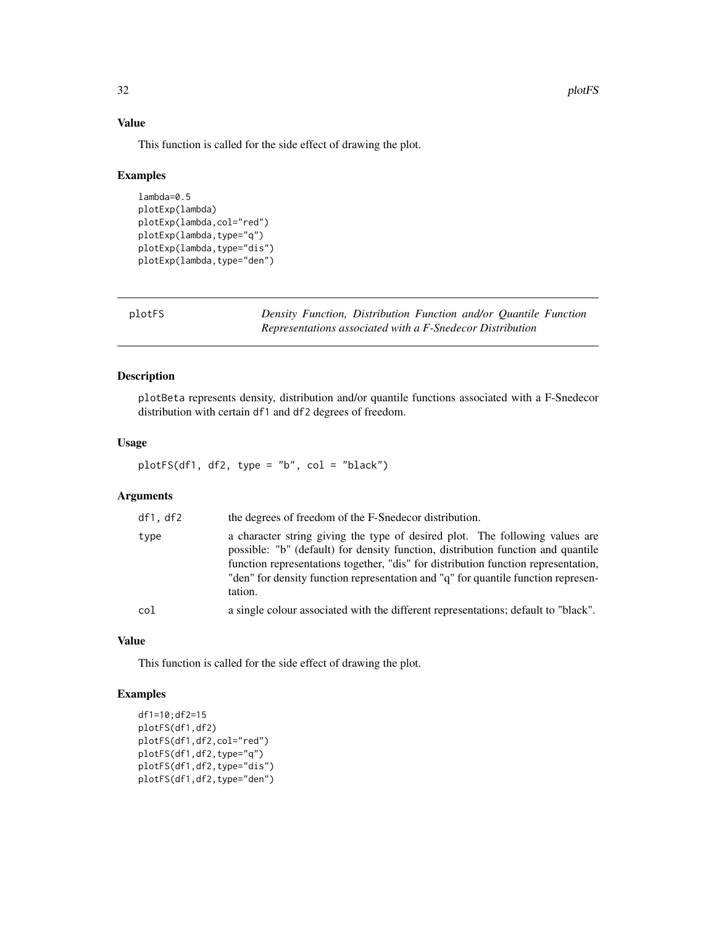## Value

This function is called for the side effect of drawing the plot.

#### Examples

```
lambda=0.5
plotExp(lambda)
plotExp(lambda,col="red")
plotExp(lambda,type="q")
plotExp(lambda,type="dis")
plotExp(lambda,type="den")
```
<span id="page-31-1"></span>plotFS *Density Function, Distribution Function and/or Quantile Function Representations associated with a F-Snedecor Distribution*

#### Description

plotBeta represents density, distribution and/or quantile functions associated with a F-Snedecor distribution with certain df1 and df2 degrees of freedom.

## Usage

plotFS(df1, df2, type = "b", col = "black")

#### Arguments

| df1,df2 | the degrees of freedom of the F-Snedecor distribution.                                                                                                                                                                                                                                                                                                 |
|---------|--------------------------------------------------------------------------------------------------------------------------------------------------------------------------------------------------------------------------------------------------------------------------------------------------------------------------------------------------------|
| type    | a character string giving the type of desired plot. The following values are<br>possible: "b" (default) for density function, distribution function and quantile<br>function representations together, "dis" for distribution function representation,<br>"den" for density function representation and "q" for quantile function represen-<br>tation. |
| col     | a single colour associated with the different representations; default to "black".                                                                                                                                                                                                                                                                     |

#### Value

This function is called for the side effect of drawing the plot.

## Examples

```
df1=10;df2=15
plotFS(df1,df2)
plotFS(df1,df2,col="red")
plotFS(df1,df2,type="q")
plotFS(df1,df2,type="dis")
plotFS(df1,df2,type="den")
```
<span id="page-31-0"></span>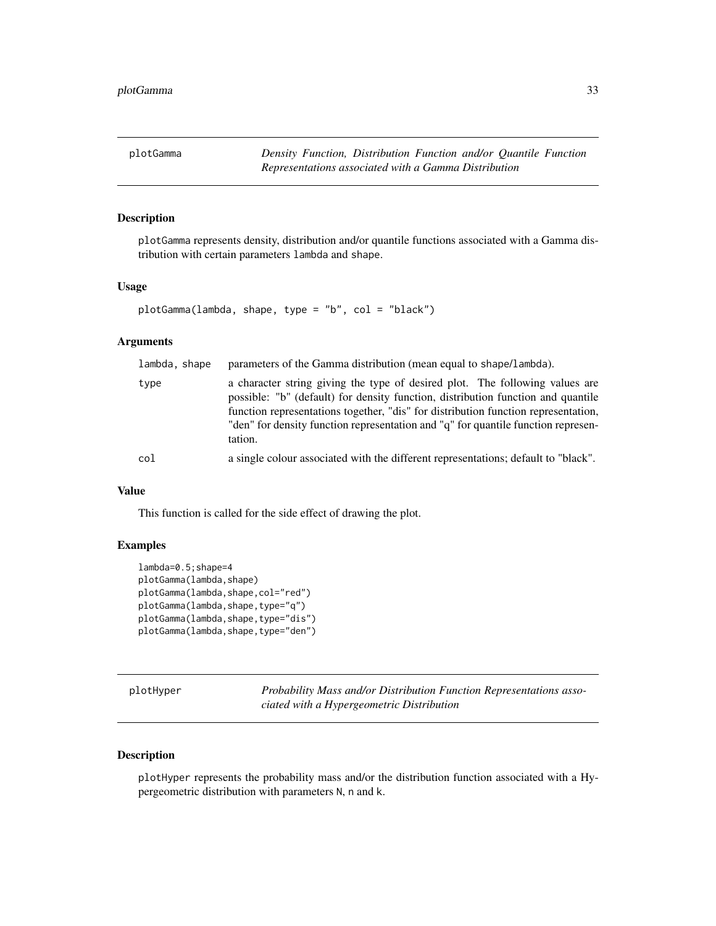<span id="page-32-2"></span><span id="page-32-0"></span>plotGamma *Density Function, Distribution Function and/or Quantile Function Representations associated with a Gamma Distribution*

## Description

plotGamma represents density, distribution and/or quantile functions associated with a Gamma distribution with certain parameters lambda and shape.

#### Usage

```
plotGamma(lambda, shape, type = "b", col = "black")
```
## Arguments

| lambda, shape | parameters of the Gamma distribution (mean equal to shape/lambda).                                                                                                                                                                                                                                                                                     |
|---------------|--------------------------------------------------------------------------------------------------------------------------------------------------------------------------------------------------------------------------------------------------------------------------------------------------------------------------------------------------------|
| type          | a character string giving the type of desired plot. The following values are<br>possible: "b" (default) for density function, distribution function and quantile<br>function representations together, "dis" for distribution function representation,<br>"den" for density function representation and "q" for quantile function represen-<br>tation. |
| col           | a single colour associated with the different representations; default to "black".                                                                                                                                                                                                                                                                     |

#### Value

This function is called for the side effect of drawing the plot.

#### Examples

```
lambda=0.5;shape=4
plotGamma(lambda,shape)
plotGamma(lambda,shape,col="red")
plotGamma(lambda,shape,type="q")
plotGamma(lambda,shape,type="dis")
plotGamma(lambda,shape,type="den")
```
<span id="page-32-1"></span>plotHyper *Probability Mass and/or Distribution Function Representations associated with a Hypergeometric Distribution*

#### Description

plotHyper represents the probability mass and/or the distribution function associated with a Hypergeometric distribution with parameters N, n and k.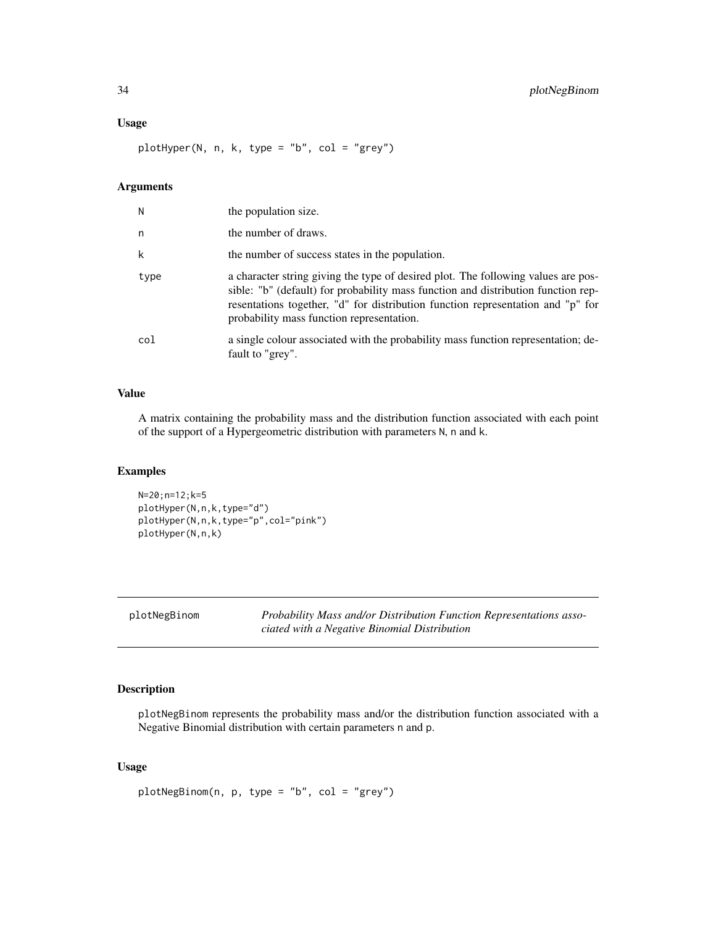#### <span id="page-33-0"></span>Usage

plotHyper(N, n, k, type = "b", col = "grey")

## Arguments

| Ν    | the population size.                                                                                                                                                                                                                                                                                   |
|------|--------------------------------------------------------------------------------------------------------------------------------------------------------------------------------------------------------------------------------------------------------------------------------------------------------|
| n    | the number of draws.                                                                                                                                                                                                                                                                                   |
| k    | the number of success states in the population.                                                                                                                                                                                                                                                        |
| type | a character string giving the type of desired plot. The following values are pos-<br>sible: "b" (default) for probability mass function and distribution function rep-<br>resentations together, "d" for distribution function representation and "p" for<br>probability mass function representation. |
| col  | a single colour associated with the probability mass function representation; de-<br>fault to "grey".                                                                                                                                                                                                  |

## Value

A matrix containing the probability mass and the distribution function associated with each point of the support of a Hypergeometric distribution with parameters N, n and k.

#### Examples

N=20;n=12;k=5 plotHyper(N,n,k,type="d") plotHyper(N,n,k,type="p",col="pink") plotHyper(N,n,k)

<span id="page-33-1"></span>plotNegBinom *Probability Mass and/or Distribution Function Representations associated with a Negative Binomial Distribution*

## Description

plotNegBinom represents the probability mass and/or the distribution function associated with a Negative Binomial distribution with certain parameters n and p.

## Usage

```
plotNegBinom(n, p, type = "b", col = "grey")
```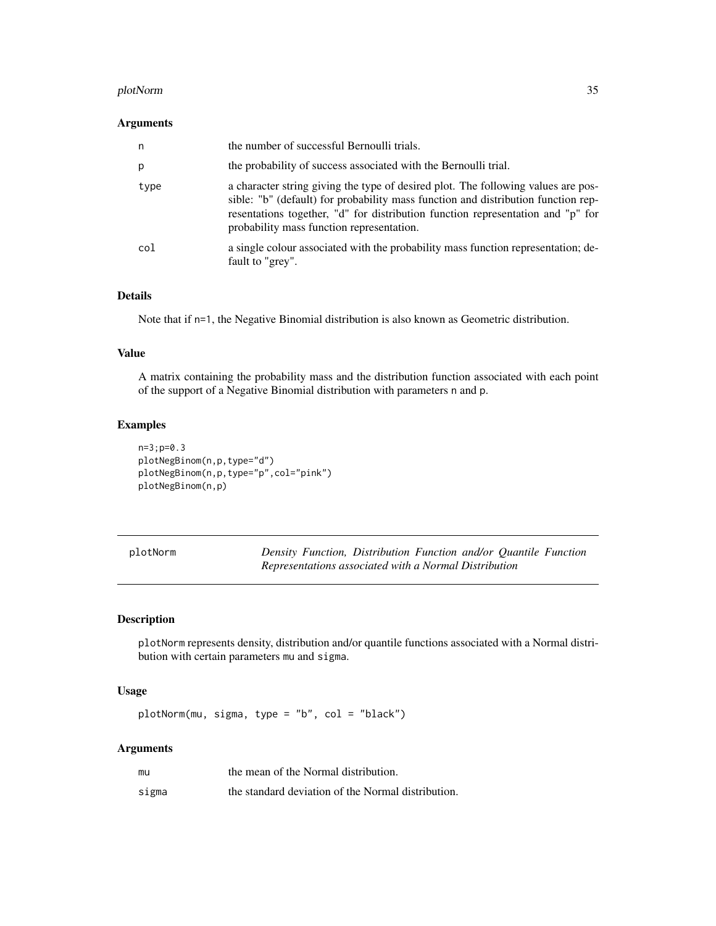#### <span id="page-34-0"></span>plotNorm 35

#### Arguments

| n    | the number of successful Bernoulli trials.                                                                                                                                                                                                                                                             |
|------|--------------------------------------------------------------------------------------------------------------------------------------------------------------------------------------------------------------------------------------------------------------------------------------------------------|
| p    | the probability of success associated with the Bernoulli trial.                                                                                                                                                                                                                                        |
| type | a character string giving the type of desired plot. The following values are pos-<br>sible: "b" (default) for probability mass function and distribution function rep-<br>resentations together, "d" for distribution function representation and "p" for<br>probability mass function representation. |
| col  | a single colour associated with the probability mass function representation; de-<br>fault to "grey".                                                                                                                                                                                                  |

## Details

Note that if  $n=1$ , the Negative Binomial distribution is also known as Geometric distribution.

## Value

A matrix containing the probability mass and the distribution function associated with each point of the support of a Negative Binomial distribution with parameters n and p.

## Examples

```
n=3;p=0.3
plotNegBinom(n,p,type="d")
plotNegBinom(n,p,type="p",col="pink")
plotNegBinom(n,p)
```

| blotNorm |  |
|----------|--|
|----------|--|

<span id="page-34-1"></span>plotNorm *Density Function, Distribution Function and/or Quantile Function Representations associated with a Normal Distribution*

#### Description

plotNorm represents density, distribution and/or quantile functions associated with a Normal distribution with certain parameters mu and sigma.

#### Usage

plotNorm(mu, sigma, type = "b", col = "black")

| mu    | the mean of the Normal distribution.               |
|-------|----------------------------------------------------|
| sigma | the standard deviation of the Normal distribution. |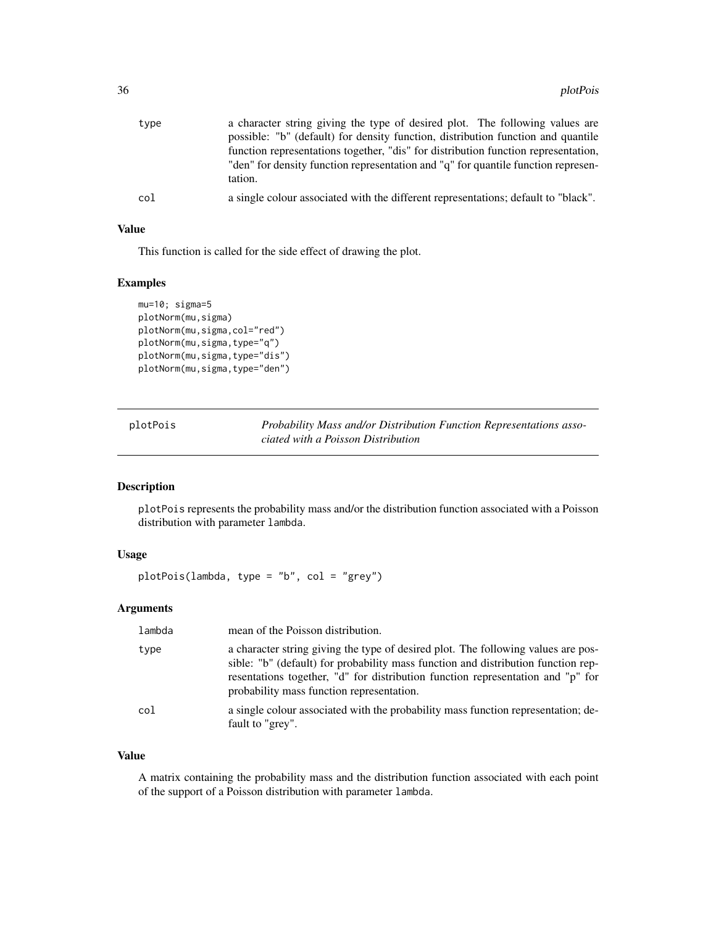<span id="page-35-0"></span>

| type | a character string giving the type of desired plot. The following values are<br>possible: "b" (default) for density function, distribution function and quantile<br>function representations together, "dis" for distribution function representation,<br>"den" for density function representation and "q" for quantile function represen-<br>tation. |
|------|--------------------------------------------------------------------------------------------------------------------------------------------------------------------------------------------------------------------------------------------------------------------------------------------------------------------------------------------------------|
| col  | a single colour associated with the different representations; default to "black".                                                                                                                                                                                                                                                                     |

## Value

This function is called for the side effect of drawing the plot.

## Examples

```
mu=10; sigma=5
plotNorm(mu,sigma)
plotNorm(mu, sigma, col="red")
plotNorm(mu,sigma,type="q")
plotNorm(mu,sigma,type="dis")
plotNorm(mu, sigma, type="den")
```
<span id="page-35-1"></span>

| plotPois | Probability Mass and/or Distribution Function Representations asso- |
|----------|---------------------------------------------------------------------|
|          | ciated with a Poisson Distribution                                  |

#### Description

plotPois represents the probability mass and/or the distribution function associated with a Poisson distribution with parameter lambda.

## Usage

plotPois(lambda, type = "b", col = "grey")

## Arguments

| lambda | mean of the Poisson distribution.                                                                                                                                                                                                                                                                      |
|--------|--------------------------------------------------------------------------------------------------------------------------------------------------------------------------------------------------------------------------------------------------------------------------------------------------------|
| type   | a character string giving the type of desired plot. The following values are pos-<br>sible: "b" (default) for probability mass function and distribution function rep-<br>resentations together, "d" for distribution function representation and "p" for<br>probability mass function representation. |
| col    | a single colour associated with the probability mass function representation; de-<br>fault to "grey".                                                                                                                                                                                                  |

#### Value

A matrix containing the probability mass and the distribution function associated with each point of the support of a Poisson distribution with parameter lambda.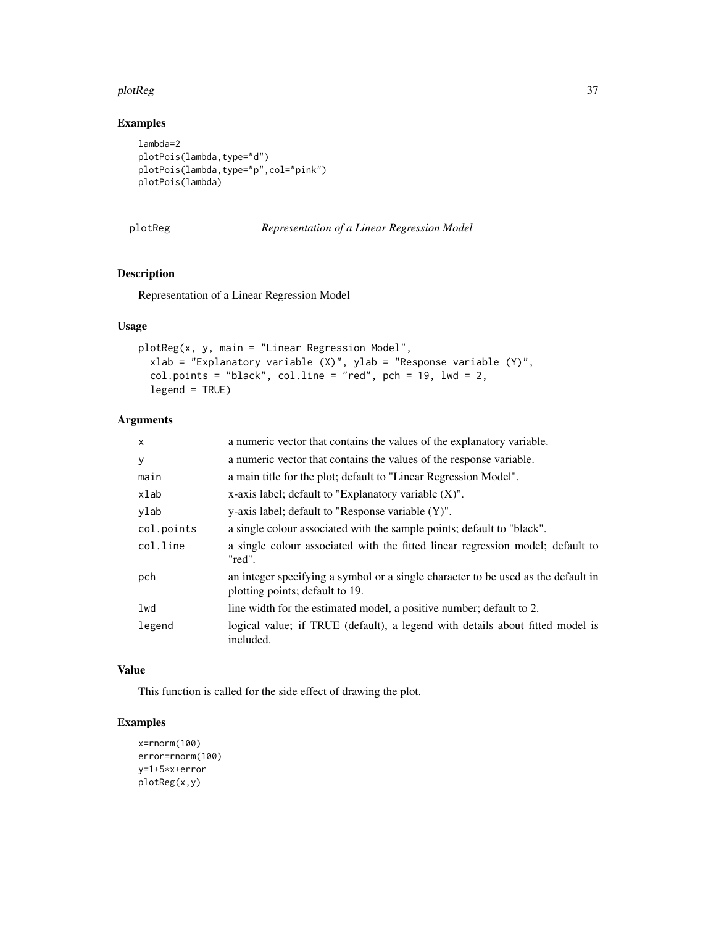#### <span id="page-36-0"></span>plotReg 37

## Examples

```
lambda=2
plotPois(lambda,type="d")
plotPois(lambda,type="p",col="pink")
plotPois(lambda)
```

```
plotReg Representation of a Linear Regression Model
```
## Description

Representation of a Linear Regression Model

## Usage

```
plotReg(x, y, main = "Linear Regression Model",
 xlab = "Explanatory variable (X)", ylab = "Response variable (Y)",
 col.points = "black", col.line = "red", pch = 19, lwd = 2,legend = TRUE)
```
## Arguments

| $\mathsf{x}$ | a numeric vector that contains the values of the explanatory variable.                                               |
|--------------|----------------------------------------------------------------------------------------------------------------------|
| У            | a numeric vector that contains the values of the response variable.                                                  |
| main         | a main title for the plot; default to "Linear Regression Model".                                                     |
| xlab         | x-axis label; default to "Explanatory variable $(X)$ ".                                                              |
| ylab         | $y$ -axis label; default to "Response variable $(Y)$ ".                                                              |
| col.points   | a single colour associated with the sample points; default to "black".                                               |
| col.line     | a single colour associated with the fitted linear regression model; default to<br>"red".                             |
| pch          | an integer specifying a symbol or a single character to be used as the default in<br>plotting points; default to 19. |
| lwd          | line width for the estimated model, a positive number; default to 2.                                                 |
| legend       | logical value; if TRUE (default), a legend with details about fitted model is<br>included.                           |

## Value

This function is called for the side effect of drawing the plot.

## Examples

```
x=rnorm(100)
error=rnorm(100)
y=1+5*x+error
plotReg(x,y)
```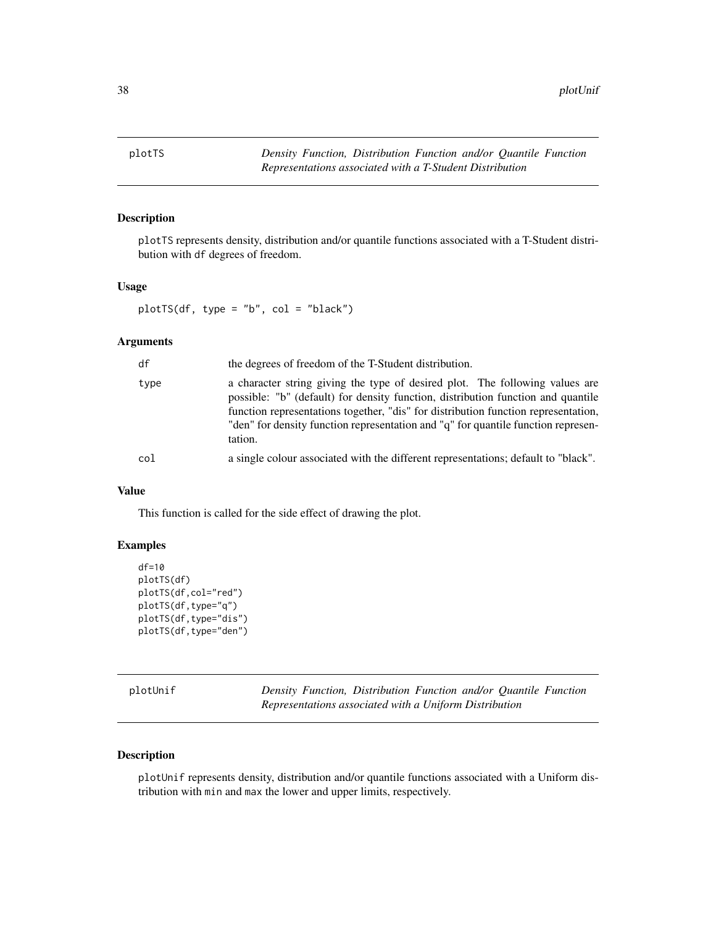<span id="page-37-1"></span><span id="page-37-0"></span>

## Description

plotTS represents density, distribution and/or quantile functions associated with a T-Student distribution with df degrees of freedom.

#### Usage

 $plotTS(df, type = "b", col = "black")$ 

## Arguments

| df   | the degrees of freedom of the T-Student distribution.                                                                                                                                                                                                                                                                                                  |
|------|--------------------------------------------------------------------------------------------------------------------------------------------------------------------------------------------------------------------------------------------------------------------------------------------------------------------------------------------------------|
| type | a character string giving the type of desired plot. The following values are<br>possible: "b" (default) for density function, distribution function and quantile<br>function representations together, "dis" for distribution function representation,<br>"den" for density function representation and "q" for quantile function represen-<br>tation. |
| col  | a single colour associated with the different representations; default to "black".                                                                                                                                                                                                                                                                     |

## Value

This function is called for the side effect of drawing the plot.

#### Examples

```
df=10
plotTS(df)
plotTS(df,col="red")
plotTS(df,type="q")
plotTS(df,type="dis")
plotTS(df,type="den")
```
<span id="page-37-2"></span>

| plotUnif |  |
|----------|--|
|----------|--|

**Density Function, Distribution Function and/or Quantile Function** *Representations associated with a Uniform Distribution*

#### Description

plotUnif represents density, distribution and/or quantile functions associated with a Uniform distribution with min and max the lower and upper limits, respectively.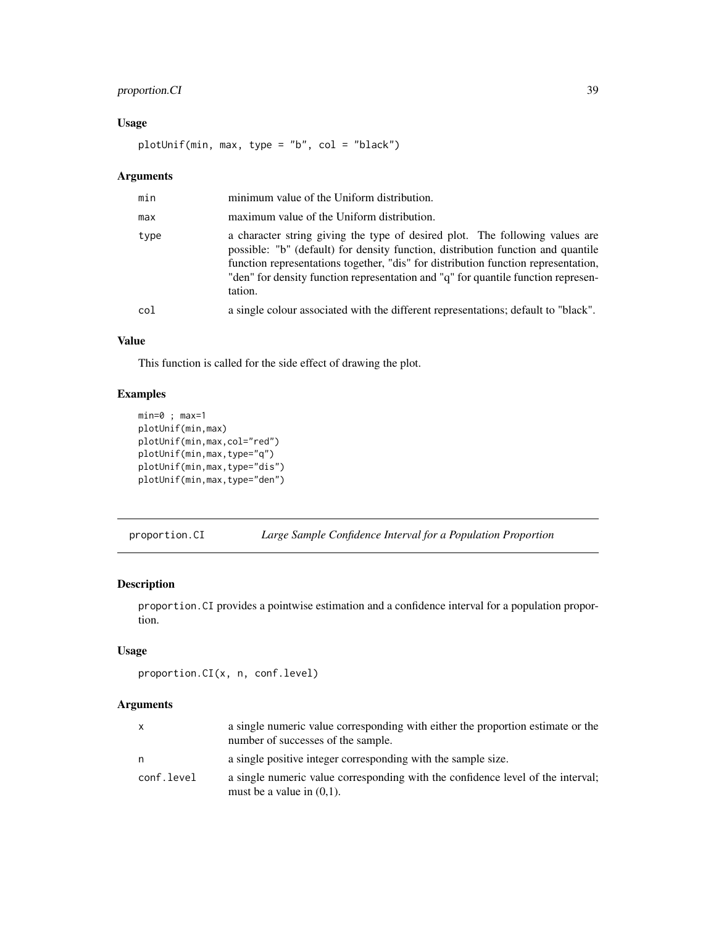## <span id="page-38-0"></span>proportion.CI 39

## Usage

plotUnif(min, max, type = "b", col = "black")

## Arguments

| min  | minimum value of the Uniform distribution.                                                                                                                                                                                                                                                                                                             |
|------|--------------------------------------------------------------------------------------------------------------------------------------------------------------------------------------------------------------------------------------------------------------------------------------------------------------------------------------------------------|
| max  | maximum value of the Uniform distribution.                                                                                                                                                                                                                                                                                                             |
| type | a character string giving the type of desired plot. The following values are<br>possible: "b" (default) for density function, distribution function and quantile<br>function representations together, "dis" for distribution function representation,<br>"den" for density function representation and "q" for quantile function represen-<br>tation. |
| col  | a single colour associated with the different representations; default to "black".                                                                                                                                                                                                                                                                     |

## Value

This function is called for the side effect of drawing the plot.

## Examples

```
min=0 ; max=1
plotUnif(min,max)
plotUnif(min,max,col="red")
plotUnif(min,max,type="q")
plotUnif(min,max,type="dis")
plotUnif(min,max,type="den")
```
<span id="page-38-1"></span>proportion.CI *Large Sample Confidence Interval for a Population Proportion*

## Description

proportion.CI provides a pointwise estimation and a confidence interval for a population proportion.

## Usage

```
proportion.CI(x, n, conf.level)
```

| $\mathsf{x}$ | a single numeric value corresponding with either the proportion estimate or the<br>number of successes of the sample. |
|--------------|-----------------------------------------------------------------------------------------------------------------------|
| n            | a single positive integer corresponding with the sample size.                                                         |
| conf.level   | a single numeric value corresponding with the confidence level of the interval;<br>must be a value in $(0,1)$ .       |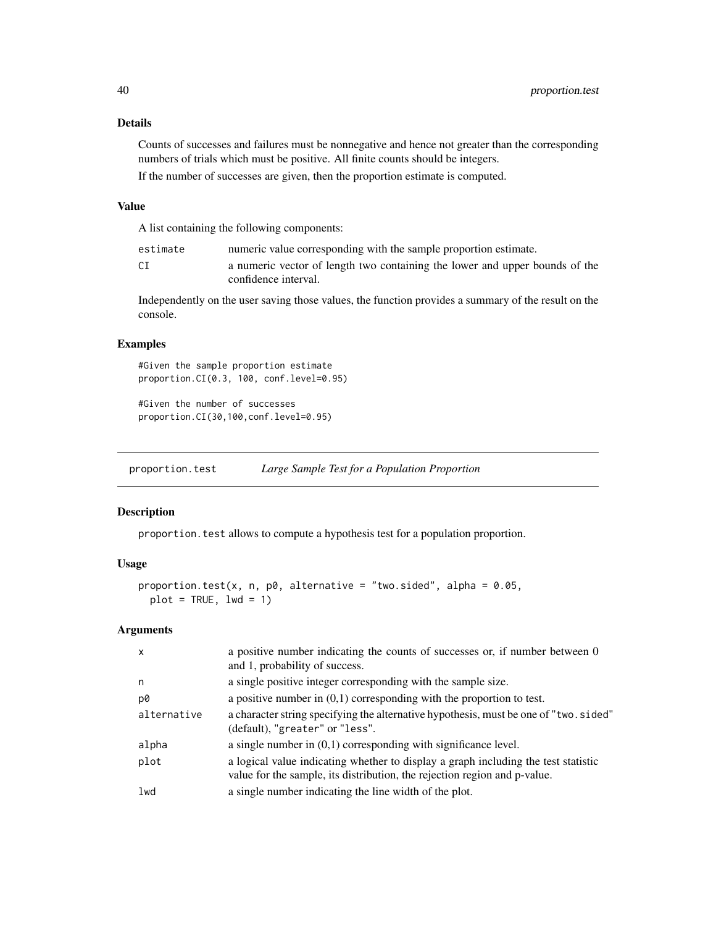#### Details

Counts of successes and failures must be nonnegative and hence not greater than the corresponding numbers of trials which must be positive. All finite counts should be integers.

If the number of successes are given, then the proportion estimate is computed.

## Value

A list containing the following components:

estimate numeric value corresponding with the sample proportion estimate. CI a numeric vector of length two containing the lower and upper bounds of the confidence interval.

Independently on the user saving those values, the function provides a summary of the result on the console.

## Examples

#Given the sample proportion estimate proportion.CI(0.3, 100, conf.level=0.95)

```
#Given the number of successes
proportion.CI(30,100,conf.level=0.95)
```
<span id="page-39-1"></span>proportion.test *Large Sample Test for a Population Proportion*

#### **Description**

proportion.test allows to compute a hypothesis test for a population proportion.

#### Usage

```
proportion.test(x, n, p0, alternative = "two.sided", alpha = 0.05,
 plot = TRUE, lwd = 1)
```

| $\mathsf{x}$ | a positive number indicating the counts of successes or, if number between 0<br>and 1, probability of success.                                                  |
|--------------|-----------------------------------------------------------------------------------------------------------------------------------------------------------------|
| n            | a single positive integer corresponding with the sample size.                                                                                                   |
| p0           | a positive number in $(0,1)$ corresponding with the proportion to test.                                                                                         |
| alternative  | a character string specifying the alternative hypothesis, must be one of "two.sided"<br>(default), "greater" or "less".                                         |
| alpha        | a single number in $(0,1)$ corresponding with significance level.                                                                                               |
| plot         | a logical value indicating whether to display a graph including the test statistic<br>value for the sample, its distribution, the rejection region and p-value. |
| lwd          | a single number indicating the line width of the plot.                                                                                                          |
|              |                                                                                                                                                                 |

<span id="page-39-0"></span>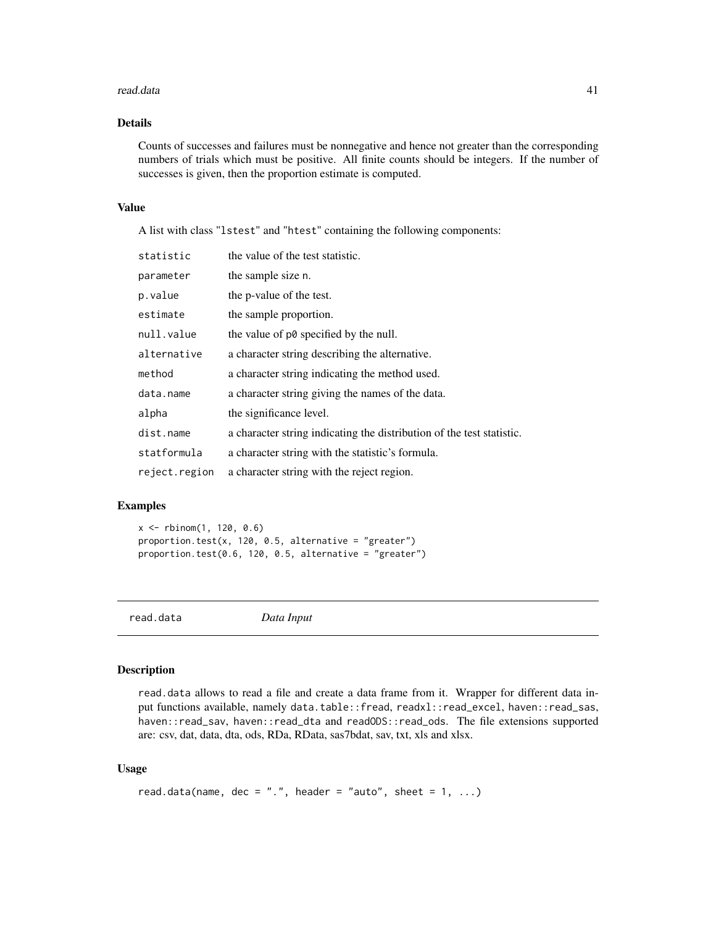#### <span id="page-40-0"></span>read.data 41

## Details

Counts of successes and failures must be nonnegative and hence not greater than the corresponding numbers of trials which must be positive. All finite counts should be integers. If the number of successes is given, then the proportion estimate is computed.

#### Value

A list with class "lstest" and "htest" containing the following components:

| statistic     | the value of the test statistic.                                      |
|---------------|-----------------------------------------------------------------------|
| parameter     | the sample size n.                                                    |
| p.value       | the p-value of the test.                                              |
| estimate      | the sample proportion.                                                |
| null.value    | the value of p0 specified by the null.                                |
| alternative   | a character string describing the alternative.                        |
| method        | a character string indicating the method used.                        |
| data.name     | a character string giving the names of the data.                      |
| alpha         | the significance level.                                               |
| dist.name     | a character string indicating the distribution of the test statistic. |
| statformula   | a character string with the statistic's formula.                      |
| reject.region | a character string with the reject region.                            |

#### Examples

x <- rbinom(1, 120, 0.6) proportion.test(x, 120, 0.5, alternative = "greater") proportion.test( $0.6$ , 12 $0.6$ , 0.5, alternative = "greater")

```
read.data Data Input
```
#### Description

read.data allows to read a file and create a data frame from it. Wrapper for different data input functions available, namely data.table::fread, readxl::read\_excel, haven::read\_sas, haven::read\_sav, haven::read\_dta and readODS::read\_ods. The file extensions supported are: csv, dat, data, dta, ods, RDa, RData, sas7bdat, sav, txt, xls and xlsx.

#### Usage

```
read.data(name, dec = ".", header = "auto", sheet = 1, ...)
```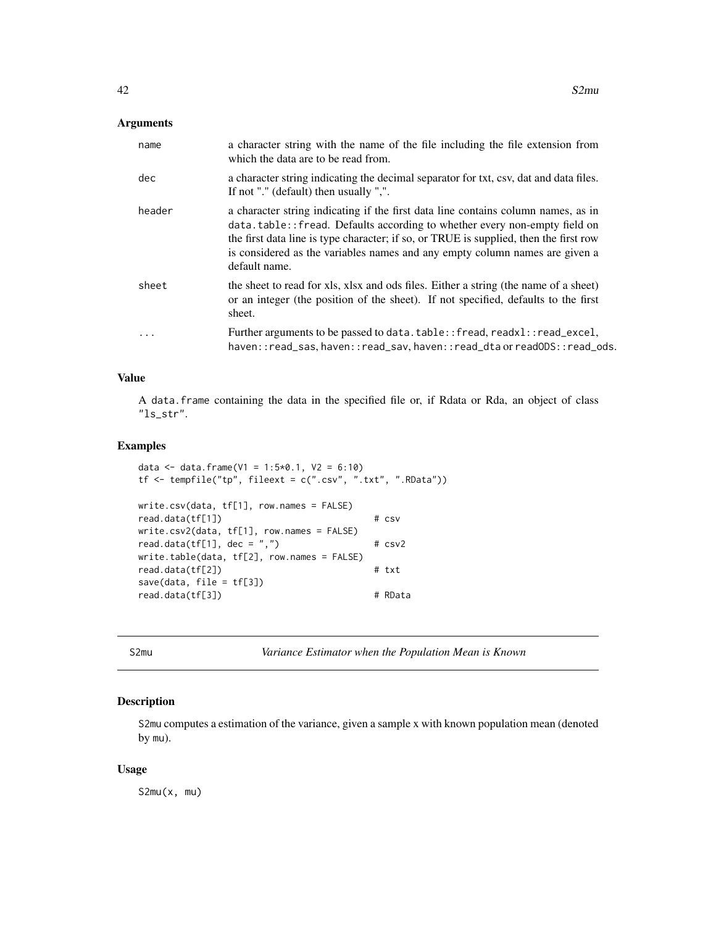## <span id="page-41-0"></span>Arguments

| name   | a character string with the name of the file including the file extension from<br>which the data are to be read from.                                                                                                                                                                                                                                    |
|--------|----------------------------------------------------------------------------------------------------------------------------------------------------------------------------------------------------------------------------------------------------------------------------------------------------------------------------------------------------------|
| dec    | a character string indicating the decimal separator for txt, csv, dat and data files.<br>If not "." (default) then usually ",".                                                                                                                                                                                                                          |
| header | a character string indicating if the first data line contains column names, as in<br>data.table:: fread. Defaults according to whether every non-empty field on<br>the first data line is type character; if so, or TRUE is supplied, then the first row<br>is considered as the variables names and any empty column names are given a<br>default name. |
| sheet  | the sheet to read for xls, xlsx and ods files. Either a string (the name of a sheet)<br>or an integer (the position of the sheet). If not specified, defaults to the first<br>sheet.                                                                                                                                                                     |
| .      | Further arguments to be passed to data. table:: fread, readxl:: read_excel,<br>haven::read_sas, haven::read_sav, haven::read_dta or readODS::read_ods.                                                                                                                                                                                                   |

#### Value

A data.frame containing the data in the specified file or, if Rdata or Rda, an object of class "ls\_str".

#### Examples

```
data <- data.frame(V1 = 1:5*0.1, V2 = 6:10)
tf <- tempfile("tp", fileext = c(".csv", ".txt", ".RData"))
write.csv(data, tf[1], row.names = FALSE)
read.data(tf[1]) # csv
write.csv2(data, tf[1], row.names = FALSE)
read.data(tf[1], dec = ",") # csv2write.table(data, tf[2], row.names = FALSE)
read.data(tf[2]) # txt
save(data, file = tf[3])
read.data(tf[3]) # RData
```
S2mu *Variance Estimator when the Population Mean is Known*

## Description

S2mu computes a estimation of the variance, given a sample x with known population mean (denoted by mu).

#### Usage

S2mu(x, mu)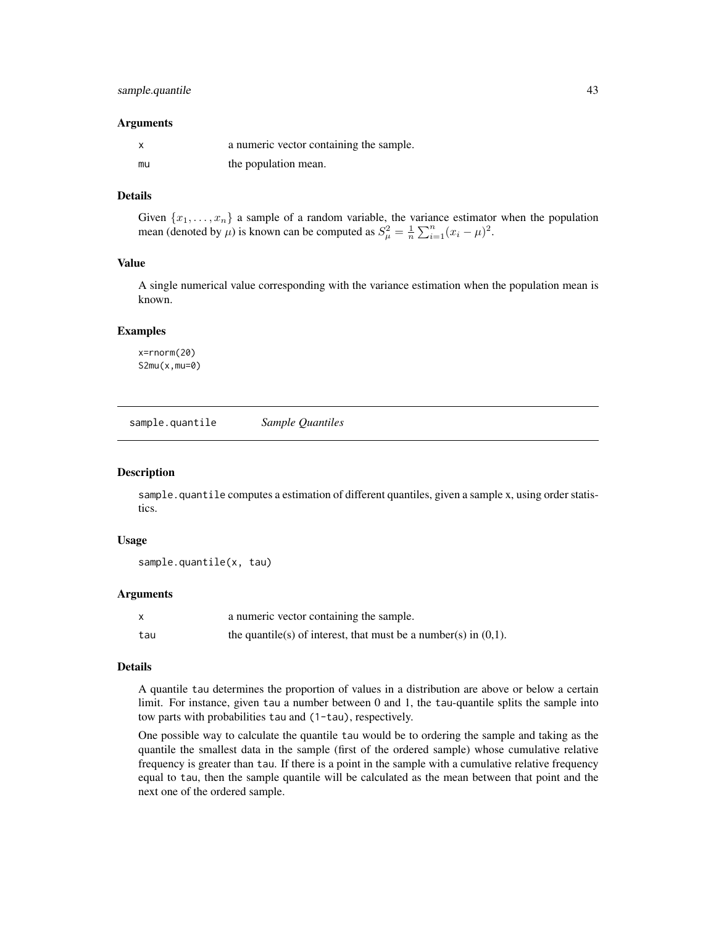## <span id="page-42-0"></span>sample.quantile 43

#### **Arguments**

|    | a numeric vector containing the sample. |
|----|-----------------------------------------|
| mu | the population mean.                    |

## Details

Given  $\{x_1, \ldots, x_n\}$  a sample of a random variable, the variance estimator when the population mean (denoted by  $\mu$ ) is known can be computed as  $S_{\mu}^2 = \frac{1}{n} \sum_{i=1}^n (x_i - \mu)^2$ .

## Value

A single numerical value corresponding with the variance estimation when the population mean is known.

#### Examples

x=rnorm(20) S2mu(x,mu=0)

sample.quantile *Sample Quantiles*

#### Description

sample.quantile computes a estimation of different quantiles, given a sample x, using order statistics.

#### Usage

```
sample.quantile(x, tau)
```
#### Arguments

| X   | a numeric vector containing the sample.                            |
|-----|--------------------------------------------------------------------|
| tau | the quantile(s) of interest, that must be a number(s) in $(0,1)$ . |

#### Details

A quantile tau determines the proportion of values in a distribution are above or below a certain limit. For instance, given tau a number between 0 and 1, the tau-quantile splits the sample into tow parts with probabilities tau and (1-tau), respectively.

One possible way to calculate the quantile tau would be to ordering the sample and taking as the quantile the smallest data in the sample (first of the ordered sample) whose cumulative relative frequency is greater than tau. If there is a point in the sample with a cumulative relative frequency equal to tau, then the sample quantile will be calculated as the mean between that point and the next one of the ordered sample.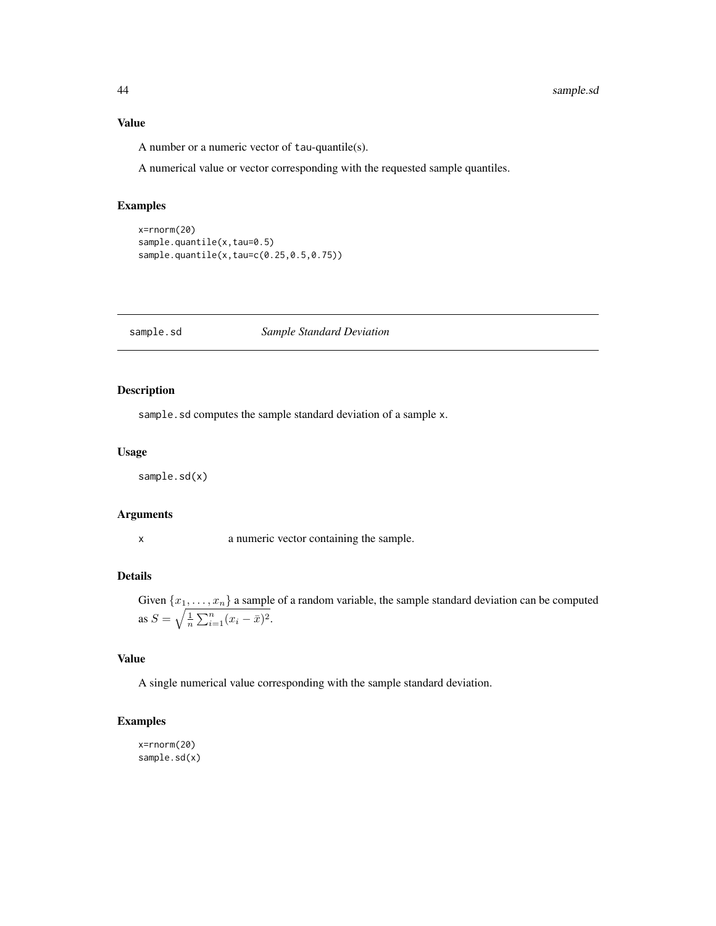#### Value

A number or a numeric vector of tau-quantile(s).

A numerical value or vector corresponding with the requested sample quantiles.

## Examples

```
x=rnorm(20)
sample.quantile(x,tau=0.5)
sample.quantile(x,tau=c(0.25,0.5,0.75))
```
sample.sd *Sample Standard Deviation*

## Description

sample.sd computes the sample standard deviation of a sample x.

#### Usage

sample.sd(x)

#### Arguments

x a numeric vector containing the sample.

## Details

Given  $\{x_1, \ldots, x_n\}$  a sample of a random variable, the sample standard deviation can be computed as  $S = \sqrt{\frac{1}{n} \sum_{i=1}^{n} (x_i - \bar{x})^2}$ .

## Value

A single numerical value corresponding with the sample standard deviation.

## Examples

x=rnorm(20) sample.sd(x)

<span id="page-43-0"></span>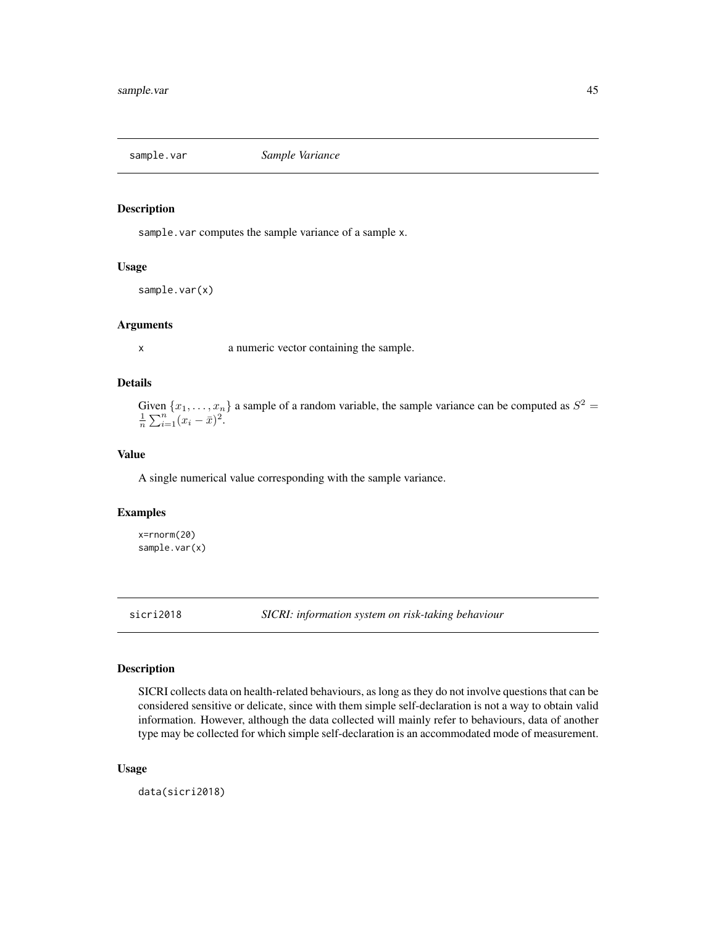<span id="page-44-0"></span>

#### Description

sample. var computes the sample variance of a sample x.

#### Usage

sample.var(x)

## Arguments

x a numeric vector containing the sample.

#### Details

Given  $\{x_1, \ldots, x_n\}$  a sample of a random variable, the sample variance can be computed as  $S^2 = \frac{1}{n} \sum_{i=1}^n (x_i - \bar{x})^2$ .

#### Value

A single numerical value corresponding with the sample variance.

#### Examples

x=rnorm(20) sample.var(x)

<span id="page-44-1"></span>sicri2018 *SICRI: information system on risk-taking behaviour*

## Description

SICRI collects data on health-related behaviours, as long as they do not involve questions that can be considered sensitive or delicate, since with them simple self-declaration is not a way to obtain valid information. However, although the data collected will mainly refer to behaviours, data of another type may be collected for which simple self-declaration is an accommodated mode of measurement.

#### Usage

data(sicri2018)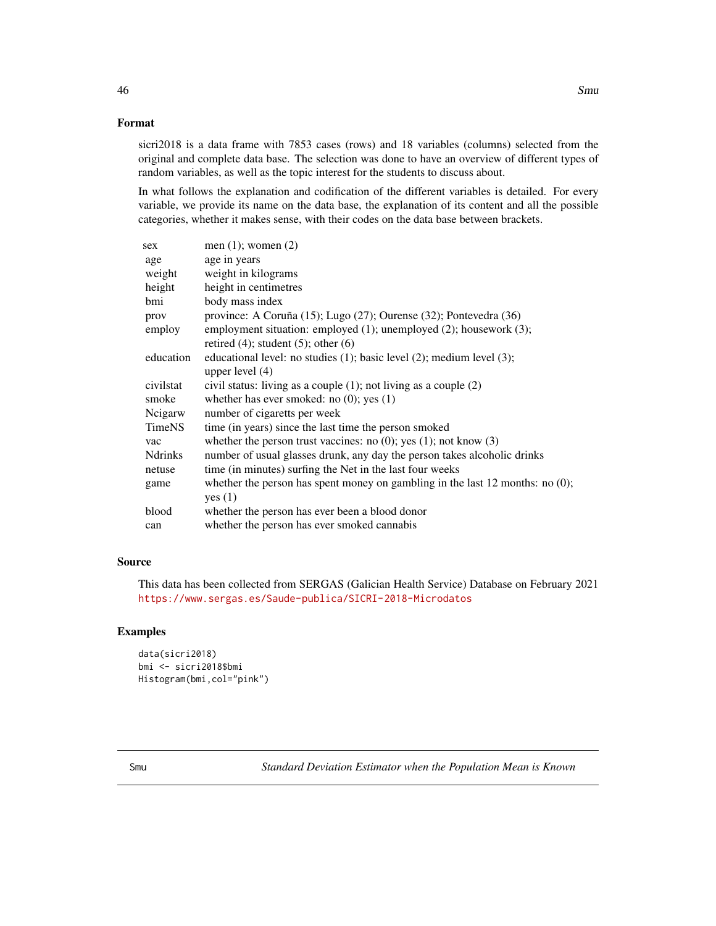## <span id="page-45-0"></span>Format

sicri2018 is a data frame with 7853 cases (rows) and 18 variables (columns) selected from the original and complete data base. The selection was done to have an overview of different types of random variables, as well as the topic interest for the students to discuss about.

In what follows the explanation and codification of the different variables is detailed. For every variable, we provide its name on the data base, the explanation of its content and all the possible categories, whether it makes sense, with their codes on the data base between brackets.

| sex            | men $(1)$ ; women $(2)$                                                          |
|----------------|----------------------------------------------------------------------------------|
| age            | age in years                                                                     |
| weight         | weight in kilograms                                                              |
| height         | height in centimetres                                                            |
| bmi            | body mass index                                                                  |
| prov           | province: A Coruña (15); Lugo (27); Ourense (32); Pontevedra (36)                |
| employ         | employment situation: employed (1); unemployed (2); housework (3);               |
|                | retired $(4)$ ; student $(5)$ ; other $(6)$                                      |
| education      | educational level: no studies $(1)$ ; basic level $(2)$ ; medium level $(3)$ ;   |
|                | upper level $(4)$                                                                |
| civilstat      | civil status: living as a couple $(1)$ ; not living as a couple $(2)$            |
| smoke          | whether has ever smoked: no $(0)$ ; yes $(1)$                                    |
| Neigarw        | number of cigaretts per week                                                     |
| <b>TimeNS</b>  | time (in years) since the last time the person smoked                            |
| vac            | whether the person trust vaccines: no $(0)$ ; yes $(1)$ ; not know $(3)$         |
| <b>Ndrinks</b> | number of usual glasses drunk, any day the person takes alcoholic drinks         |
| netuse         | time (in minutes) surfing the Net in the last four weeks                         |
| game           | whether the person has spent money on gambling in the last 12 months: no $(0)$ ; |
|                | yes $(1)$                                                                        |
| blood          | whether the person has ever been a blood donor                                   |
| can            | whether the person has ever smoked cannabis                                      |
|                |                                                                                  |

#### Source

This data has been collected from SERGAS (Galician Health Service) Database on February 2021 <https://www.sergas.es/Saude-publica/SICRI-2018-Microdatos>

#### Examples

```
data(sicri2018)
bmi <- sicri2018$bmi
Histogram(bmi,col="pink")
```
Smu *Standard Deviation Estimator when the Population Mean is Known*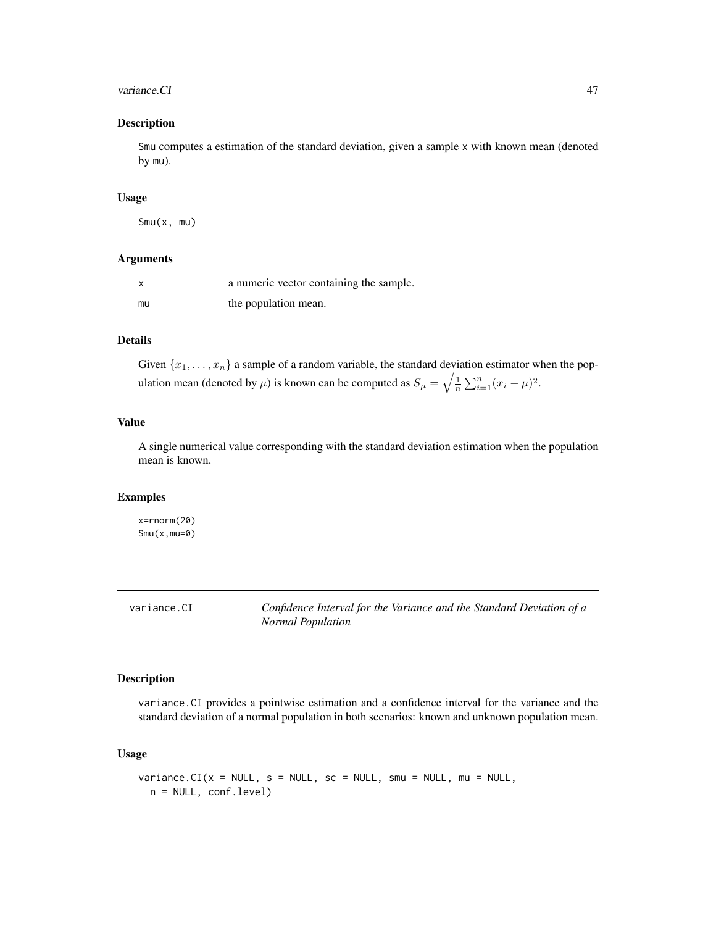#### <span id="page-46-0"></span>variance.CI 47

#### Description

Smu computes a estimation of the standard deviation, given a sample x with known mean (denoted by mu).

#### Usage

Smu(x, mu)

#### Arguments

| x  | a numeric vector containing the sample. |
|----|-----------------------------------------|
| mu | the population mean.                    |

## Details

Given  $\{x_1, \ldots, x_n\}$  a sample of a random variable, the standard deviation estimator when the population mean (denoted by  $\mu$ ) is known can be computed as  $S_{\mu} = \sqrt{\frac{1}{n} \sum_{i=1}^{n} (x_i - \mu)^2}$ .

#### Value

A single numerical value corresponding with the standard deviation estimation when the population mean is known.

#### Examples

x=rnorm(20) Smu(x,mu=0)

<span id="page-46-1"></span>variance.CI *Confidence Interval for the Variance and the Standard Deviation of a Normal Population*

#### Description

variance.CI provides a pointwise estimation and a confidence interval for the variance and the standard deviation of a normal population in both scenarios: known and unknown population mean.

#### Usage

```
variance.CI(x = NULL, s = NULL, sc = NULL, smu = NULL, mu = NULL,n = NULL, conf.level)
```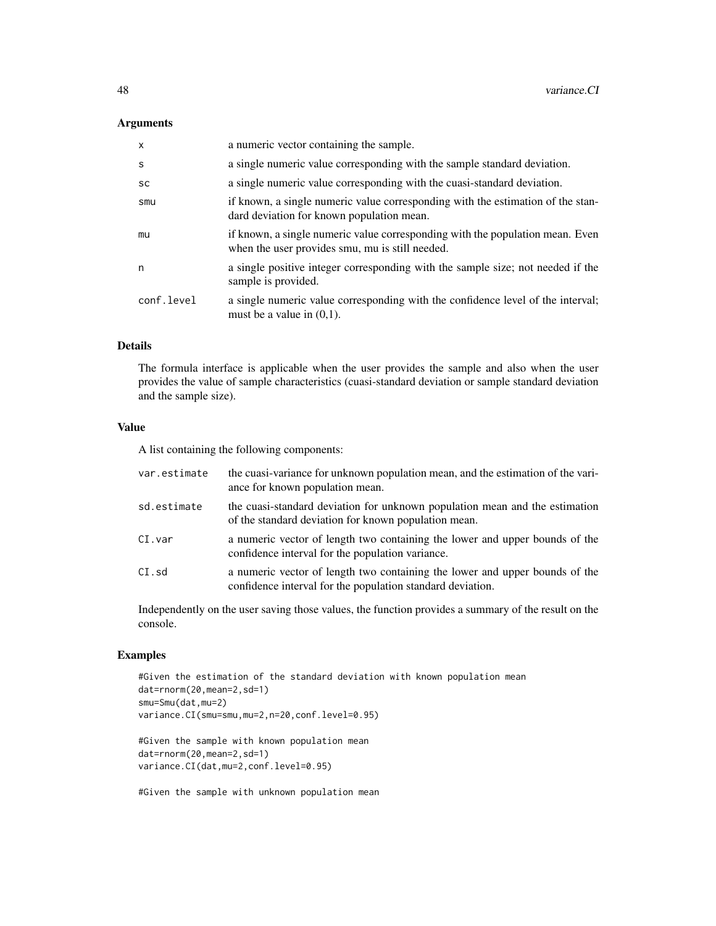#### Arguments

| $\mathsf{x}$ | a numeric vector containing the sample.                                                                                          |
|--------------|----------------------------------------------------------------------------------------------------------------------------------|
| S            | a single numeric value corresponding with the sample standard deviation.                                                         |
| <b>SC</b>    | a single numeric value corresponding with the cuasi-standard deviation.                                                          |
| smu          | if known, a single numeric value corresponding with the estimation of the stan-<br>dard deviation for known population mean.     |
| mu           | if known, a single numeric value corresponding with the population mean. Even<br>when the user provides smu, mu is still needed. |
| n            | a single positive integer corresponding with the sample size; not needed if the<br>sample is provided.                           |
| conf.level   | a single numeric value corresponding with the confidence level of the interval;<br>must be a value in $(0,1)$ .                  |

#### Details

The formula interface is applicable when the user provides the sample and also when the user provides the value of sample characteristics (cuasi-standard deviation or sample standard deviation and the sample size).

#### Value

A list containing the following components:

| var.estimate | the cuasi-variance for unknown population mean, and the estimation of the vari-<br>ance for known population mean.                        |
|--------------|-------------------------------------------------------------------------------------------------------------------------------------------|
| sd.estimate  | the cuasi-standard deviation for unknown population mean and the estimation<br>of the standard deviation for known population mean.       |
| CI.var       | a numeric vector of length two containing the lower and upper bounds of the<br>confidence interval for the population variance.           |
| CI.sd        | a numeric vector of length two containing the lower and upper bounds of the<br>confidence interval for the population standard deviation. |

Independently on the user saving those values, the function provides a summary of the result on the console.

## Examples

```
#Given the estimation of the standard deviation with known population mean
dat=rnorm(20,mean=2,sd=1)
smu=Smu(dat,mu=2)
variance.CI(smu=smu,mu=2,n=20,conf.level=0.95)
```
#Given the sample with known population mean dat=rnorm(20,mean=2,sd=1) variance.CI(dat,mu=2,conf.level=0.95)

#Given the sample with unknown population mean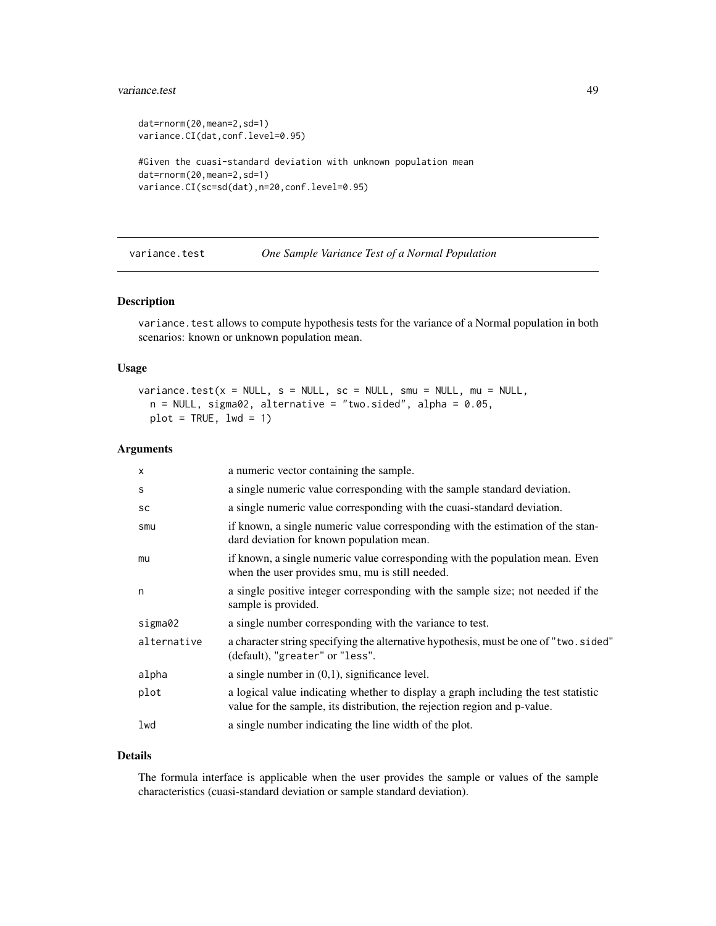#### <span id="page-48-0"></span>variance.test 49

```
dat=rnorm(20,mean=2,sd=1)
variance.CI(dat,conf.level=0.95)
#Given the cuasi-standard deviation with unknown population mean
dat=rnorm(20,mean=2,sd=1)
variance.CI(sc=sd(dat),n=20,conf.level=0.95)
```
<span id="page-48-1"></span>variance.test *One Sample Variance Test of a Normal Population*

## Description

variance. test allows to compute hypothesis tests for the variance of a Normal population in both scenarios: known or unknown population mean.

## Usage

```
variance.test(x = NULL, s = NULL, sc = NULL, smu = NULL, mu = NULL,
  n = NULL, sigma02, alternative = "two.sided", alpha = 0.05,
 plot = TRUE, 1wd = 1)
```
#### Arguments

| $\times$    | a numeric vector containing the sample.                                                                                                                         |
|-------------|-----------------------------------------------------------------------------------------------------------------------------------------------------------------|
| S           | a single numeric value corresponding with the sample standard deviation.                                                                                        |
| SC          | a single numeric value corresponding with the cuasi-standard deviation.                                                                                         |
| smu         | if known, a single numeric value corresponding with the estimation of the stan-<br>dard deviation for known population mean.                                    |
| mu          | if known, a single numeric value corresponding with the population mean. Even<br>when the user provides smu, mu is still needed.                                |
| n           | a single positive integer corresponding with the sample size; not needed if the<br>sample is provided.                                                          |
| sigma02     | a single number corresponding with the variance to test.                                                                                                        |
| alternative | a character string specifying the alternative hypothesis, must be one of "two.sided"<br>(default), "greater" or "less".                                         |
| alpha       | a single number in $(0,1)$ , significance level.                                                                                                                |
| plot        | a logical value indicating whether to display a graph including the test statistic<br>value for the sample, its distribution, the rejection region and p-value. |
| lwd         | a single number indicating the line width of the plot.                                                                                                          |
|             |                                                                                                                                                                 |

#### Details

The formula interface is applicable when the user provides the sample or values of the sample characteristics (cuasi-standard deviation or sample standard deviation).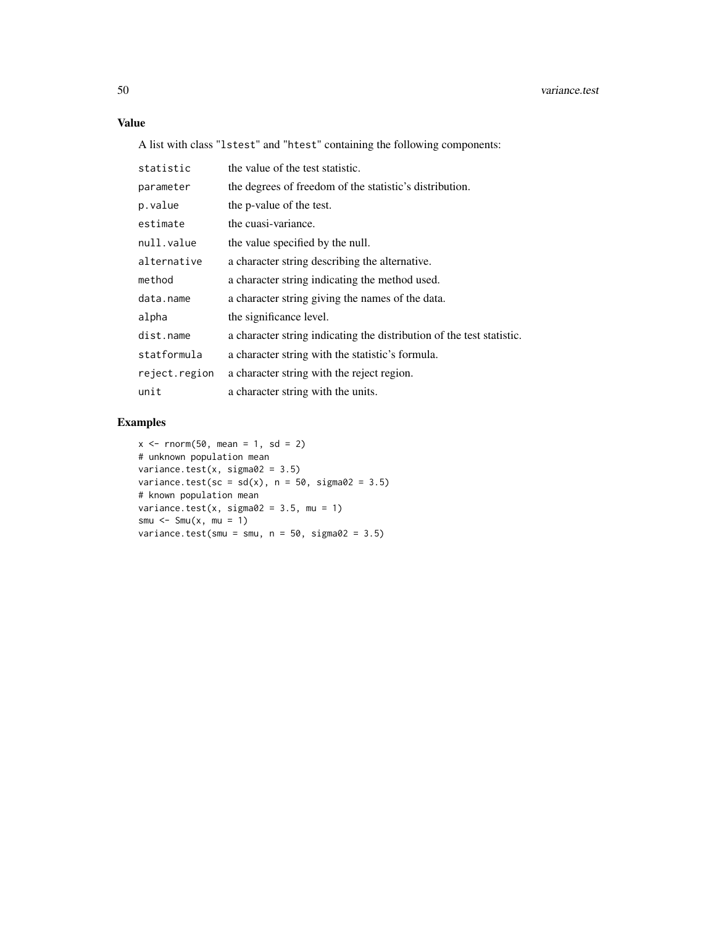## Value

A list with class "lstest" and "htest" containing the following components:

| statistic     | the value of the test statistic.                                      |
|---------------|-----------------------------------------------------------------------|
| parameter     | the degrees of freedom of the statistic's distribution.               |
| p.value       | the p-value of the test.                                              |
| estimate      | the cuasi-variance.                                                   |
| null.value    | the value specified by the null.                                      |
| alternative   | a character string describing the alternative.                        |
| method        | a character string indicating the method used.                        |
| data.name     | a character string giving the names of the data.                      |
| alpha         | the significance level.                                               |
| dist.name     | a character string indicating the distribution of the test statistic. |
| statformula   | a character string with the statistic's formula.                      |
| reject.region | a character string with the reject region.                            |
| unit          | a character string with the units.                                    |

## Examples

```
x \le - rnorm(50, mean = 1, sd = 2)
# unknown population mean
variance.test(x, sigma02 = 3.5)
variance.test(sc = sd(x), n = 50, sigma02 = 3.5)
# known population mean
variance.test(x, sigma02 = 3.5, mu = 1)
smu <- Smu(x, \text{mu} = 1)variance.test(smu = smu, n = 50, sigma02 = 3.5)
```